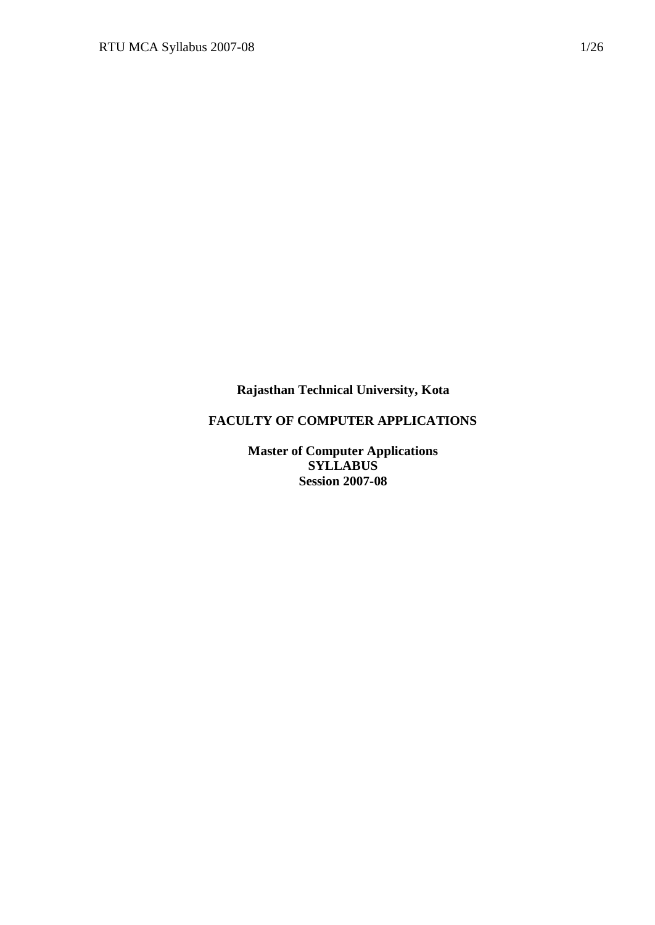**Rajasthan Technical University, Kota**

# **FACULTY OF COMPUTER APPLICATIONS**

**Master of Computer Applications SYLLABUS Session 2007-08**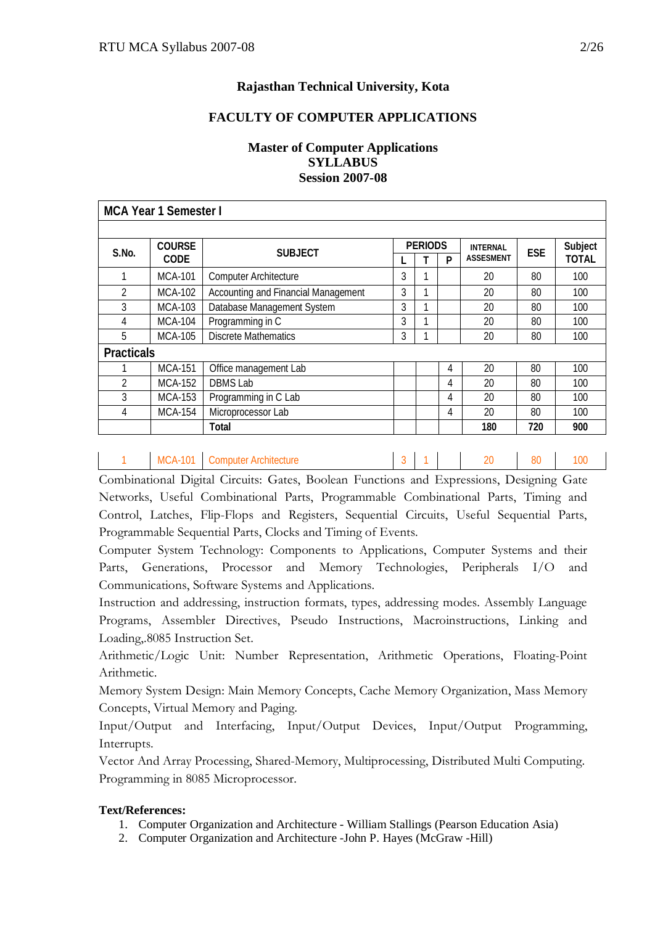# **Rajasthan Technical University, Kota**

#### **FACULTY OF COMPUTER APPLICATIONS**

## **Master of Computer Applications SYLLABUS Session 2007-08**

|                   | <b>MCA Year 1 Semester I</b> |                                     |   |                |   |                  |            |              |
|-------------------|------------------------------|-------------------------------------|---|----------------|---|------------------|------------|--------------|
|                   |                              |                                     |   |                |   |                  |            |              |
| S.No.             | <b>COURSE</b>                | <b>SUBJECT</b>                      |   | <b>PERIODS</b> |   | <b>INTERNAL</b>  | <b>ESE</b> | Subject      |
|                   | <b>CODE</b>                  |                                     |   |                | P | <b>ASSESMENT</b> |            | <b>TOTAL</b> |
| 1                 | <b>MCA-101</b>               | <b>Computer Architecture</b>        | 3 | 1              |   | 20               | 80         | 100          |
| $\overline{2}$    | <b>MCA-102</b>               | Accounting and Financial Management | 3 | 1              |   | 20               | 80         | 100          |
| 3                 | MCA-103                      | Database Management System          | 3 | 1              |   | 20               | 80         | 100          |
| 4                 | <b>MCA-104</b>               | Programming in C                    | 3 | 1              |   | 20               | 80         | 100          |
| 5                 | MCA-105                      | Discrete Mathematics                | 3 |                |   | 20               | 80         | 100          |
| <b>Practicals</b> |                              |                                     |   |                |   |                  |            |              |
|                   | <b>MCA-151</b>               | Office management Lab               |   |                | 4 | 20               | 80         | 100          |
| $\mathfrak{D}$    | <b>MCA-152</b>               | <b>DBMS Lab</b>                     |   |                | 4 | 20               | 80         | 100          |
| 3                 | MCA-153                      | Programming in C Lab                |   |                | 4 | 20               | 80         | 100          |
| 4                 | <b>MCA-154</b>               | Microprocessor Lab                  |   |                | 4 | 20               | 80         | 100          |
|                   |                              | Total                               |   |                |   | 180              | 720        | 900          |
|                   |                              |                                     |   |                |   |                  |            |              |

1 MCA-101 Computer Architecture 2 1 3 1 20 80 100 Combinational Digital Circuits: Gates, Boolean Functions and Expressions, Designing Gate Networks, Useful Combinational Parts, Programmable Combinational Parts, Timing and Control, Latches, Flip-Flops and Registers, Sequential Circuits, Useful Sequential Parts,

Computer System Technology: Components to Applications, Computer Systems and their Parts, Generations, Processor and Memory Technologies, Peripherals I/O and Communications, Software Systems and Applications.

Programmable Sequential Parts, Clocks and Timing of Events.

Instruction and addressing, instruction formats, types, addressing modes. Assembly Language Programs, Assembler Directives, Pseudo Instructions, Macroinstructions, Linking and Loading,.8085 Instruction Set.

Arithmetic/Logic Unit: Number Representation, Arithmetic Operations, Floating-Point Arithmetic.

Memory System Design: Main Memory Concepts, Cache Memory Organization, Mass Memory Concepts, Virtual Memory and Paging.

Input/Output and Interfacing, Input/Output Devices, Input/Output Programming, Interrupts.

Vector And Array Processing, Shared-Memory, Multiprocessing, Distributed Multi Computing. Programming in 8085 Microprocessor.

- 1. Computer Organization and Architecture William Stallings (Pearson Education Asia)
- 2. Computer Organization and Architecture -John P. Hayes (McGraw -Hill)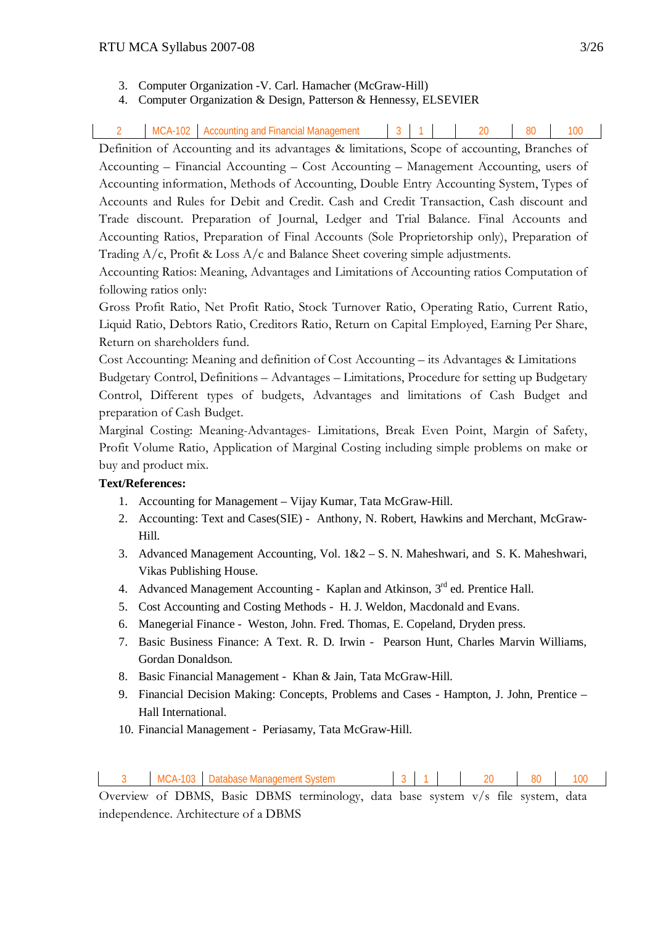- 3. Computer Organization -V. Carl. Hamacher (McGraw-Hill)
- 4. Computer Organization & Design, Patterson & Hennessy, ELSEVIER

|  | <b>MCA</b><br>10 <sup>o</sup><br>١Uz | Accou<br>י היה<br>וושו<br>anan itu<br>uucur |  |  |  | n c | $\Omega$<br>ou | u. |
|--|--------------------------------------|---------------------------------------------|--|--|--|-----|----------------|----|
|--|--------------------------------------|---------------------------------------------|--|--|--|-----|----------------|----|

Definition of Accounting and its advantages & limitations, Scope of accounting, Branches of Accounting – Financial Accounting – Cost Accounting – Management Accounting, users of Accounting information, Methods of Accounting, Double Entry Accounting System, Types of Accounts and Rules for Debit and Credit. Cash and Credit Transaction, Cash discount and Trade discount. Preparation of Journal, Ledger and Trial Balance. Final Accounts and Accounting Ratios, Preparation of Final Accounts (Sole Proprietorship only), Preparation of Trading A/c, Profit & Loss A/c and Balance Sheet covering simple adjustments.

Accounting Ratios: Meaning, Advantages and Limitations of Accounting ratios Computation of following ratios only:

Gross Profit Ratio, Net Profit Ratio, Stock Turnover Ratio, Operating Ratio, Current Ratio, Liquid Ratio, Debtors Ratio, Creditors Ratio, Return on Capital Employed, Earning Per Share, Return on shareholders fund.

Cost Accounting: Meaning and definition of Cost Accounting – its Advantages & Limitations Budgetary Control, Definitions – Advantages – Limitations, Procedure for setting up Budgetary Control, Different types of budgets, Advantages and limitations of Cash Budget and preparation of Cash Budget.

Marginal Costing: Meaning-Advantages- Limitations, Break Even Point, Margin of Safety, Profit Volume Ratio, Application of Marginal Costing including simple problems on make or buy and product mix.

## **Text/References:**

- 1. Accounting for Management Vijay Kumar, Tata McGraw-Hill.
- 2. Accounting: Text and Cases(SIE) Anthony, N. Robert, Hawkins and Merchant, McGraw-Hill.
- 3. Advanced Management Accounting, Vol. 1&2 S. N. Maheshwari, and S. K. Maheshwari, Vikas Publishing House.
- 4. Advanced Management Accounting Kaplan and Atkinson, 3rd ed. Prentice Hall.
- 5. Cost Accounting and Costing Methods H. J. Weldon, Macdonald and Evans.
- 6. Manegerial Finance Weston, John. Fred. Thomas, E. Copeland, Dryden press.
- 7. Basic Business Finance: A Text. R. D. Irwin Pearson Hunt, Charles Marvin Williams, Gordan Donaldson.
- 8. Basic Financial Management Khan & Jain, Tata McGraw-Hill.
- 9. Financial Decision Making: Concepts, Problems and Cases Hampton, J. John, Prentice Hall International.
- 10. Financial Management Periasamy, Tata McGraw-Hill.

| <b>MCA-103</b> | <b>Database</b> iv<br>System<br>: Management S |  |  |  |  | 80 |  |
|----------------|------------------------------------------------|--|--|--|--|----|--|
|----------------|------------------------------------------------|--|--|--|--|----|--|

Overview of DBMS, Basic DBMS terminology, data base system v/s file system, data independence. Architecture of a DBMS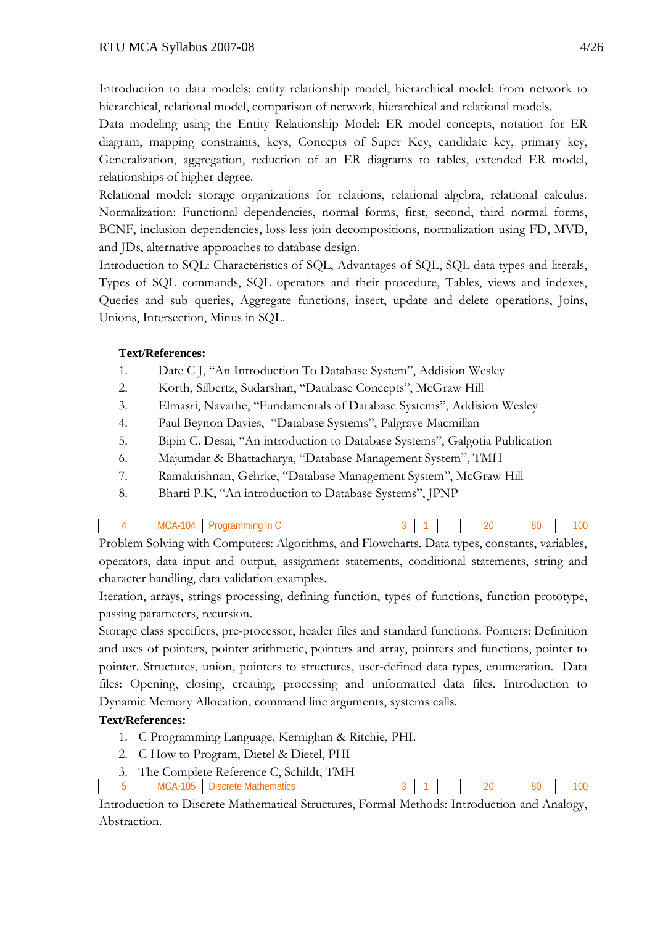Introduction to data models: entity relationship model, hierarchical model: from network to hierarchical, relational model, comparison of network, hierarchical and relational models.

Data modeling using the Entity Relationship Model: ER model concepts, notation for ER diagram, mapping constraints, keys, Concepts of Super Key, candidate key, primary key, Generalization, aggregation, reduction of an ER diagrams to tables, extended ER model, relationships of higher degree.

Relational model: storage organizations for relations, relational algebra, relational calculus. Normalization: Functional dependencies, normal forms, first, second, third normal forms, BCNF, inclusion dependencies, loss less join decompositions, normalization using FD, MVD, and JDs, alternative approaches to database design.

Introduction to SQL: Characteristics of SQL, Advantages of SQL, SQL data types and literals, Types of SQL commands, SQL operators and their procedure, Tables, views and indexes, Queries and sub queries, Aggregate functions, insert, update and delete operations, Joins, Unions, Intersection, Minus in SQL.

# **Text/References:**

- 1. Date C J, "An Introduction To Database System", Addision Wesley
- 2. Korth, Silbertz, Sudarshan, "Database Concepts", McGraw Hill
- 3. Elmasri, Navathe, "Fundamentals of Database Systems", Addision Wesley
- 4. Paul Beynon Davies, "Database Systems", Palgrave Macmillan
- 5. Bipin C. Desai, "An introduction to Database Systems", Galgotia Publication
- 6. Majumdar & Bhattacharya, "Database Management System", TMH
- 7. Ramakrishnan, Gehrke, "Database Management System", McGraw Hill
- 8. Bharti P.K, "An introduction to Database Systems", JPNP

| <b>MCA-104</b> | $\mathsf{I}$<br>Programming | $\sim$<br>ີ |  | ንበ | 80 | 00 |
|----------------|-----------------------------|-------------|--|----|----|----|
|                |                             |             |  |    |    |    |

Problem Solving with Computers: Algorithms, and Flowcharts. Data types, constants, variables, operators, data input and output, assignment statements, conditional statements, string and character handling, data validation examples.

Iteration, arrays, strings processing, defining function, types of functions, function prototype, passing parameters, recursion.

Storage class specifiers, pre-processor, header files and standard functions. Pointers: Definition and uses of pointers, pointer arithmetic, pointers and array, pointers and functions, pointer to pointer. Structures, union, pointers to structures, user-defined data types, enumeration. Data files: Opening, closing, creating, processing and unformatted data files. Introduction to Dynamic Memory Allocation, command line arguments, systems calls.

# **Text/References:**

- 1. C Programming Language, Kernighan & Ritchie, PHI.
- 2. C How to Program, Dietel & Dietel, PHI
- 3. The Complete Reference C, Schildt, TMH
- MCA-105 Discrete Mathematics 3 1 20 80 100

Introduction to Discrete Mathematical Structures, Formal Methods: Introduction and Analogy, Abstraction.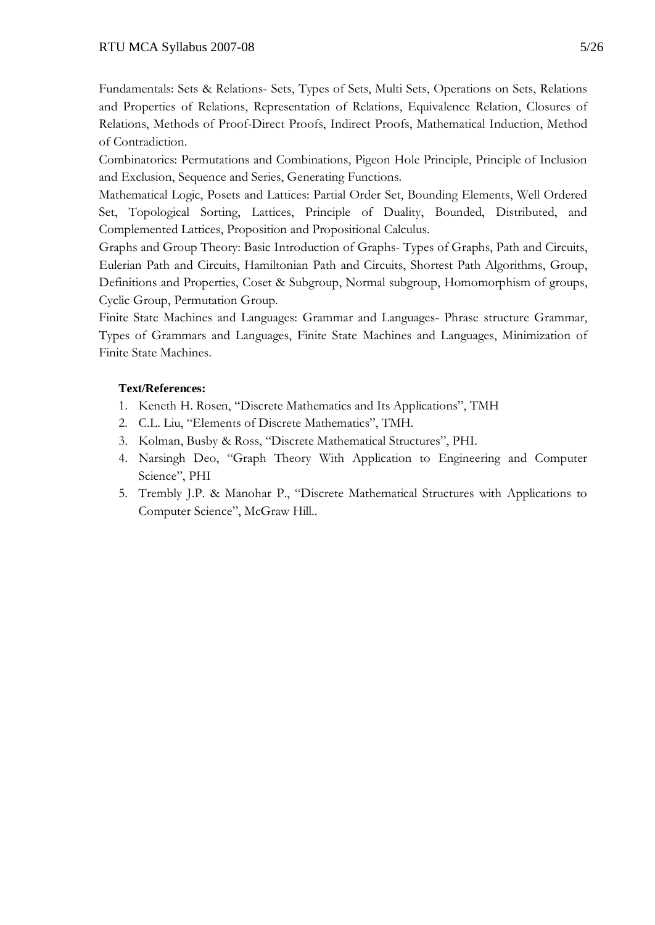Fundamentals: Sets & Relations- Sets, Types of Sets, Multi Sets, Operations on Sets, Relations and Properties of Relations, Representation of Relations, Equivalence Relation, Closures of Relations, Methods of Proof-Direct Proofs, Indirect Proofs, Mathematical Induction, Method of Contradiction.

Combinatorics: Permutations and Combinations, Pigeon Hole Principle, Principle of Inclusion and Exclusion, Sequence and Series, Generating Functions.

Mathematical Logic, Posets and Lattices: Partial Order Set, Bounding Elements, Well Ordered Set, Topological Sorting, Lattices, Principle of Duality, Bounded, Distributed, and Complemented Lattices, Proposition and Propositional Calculus.

Graphs and Group Theory: Basic Introduction of Graphs- Types of Graphs, Path and Circuits, Eulerian Path and Circuits, Hamiltonian Path and Circuits, Shortest Path Algorithms, Group, Definitions and Properties, Coset & Subgroup, Normal subgroup, Homomorphism of groups, Cyclic Group, Permutation Group.

Finite State Machines and Languages: Grammar and Languages- Phrase structure Grammar, Types of Grammars and Languages, Finite State Machines and Languages, Minimization of Finite State Machines.

- 1. Keneth H. Rosen, "Discrete Mathematics and Its Applications", TMH
- 2. C.L. Liu, "Elements of Discrete Mathematics", TMH.
- 3. Kolman, Busby & Ross, "Discrete Mathematical Structures", PHI.
- 4. Narsingh Deo, "Graph Theory With Application to Engineering and Computer Science", PHI
- 5. Trembly J.P. & Manohar P., "Discrete Mathematical Structures with Applications to Computer Science", McGraw Hill..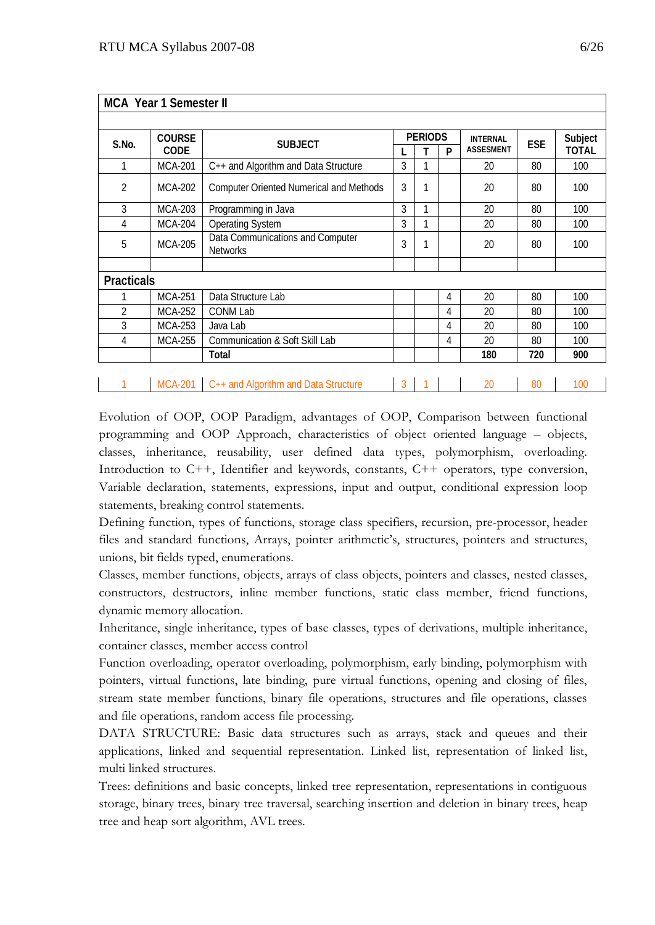|                   | <b>MCA Year 1 Semester II</b>   |                                                     |                |           |                 |                  |         |       |
|-------------------|---------------------------------|-----------------------------------------------------|----------------|-----------|-----------------|------------------|---------|-------|
|                   |                                 |                                                     |                |           |                 |                  |         |       |
| S.No.             | <b>COURSE</b><br><b>SUBJECT</b> |                                                     | <b>PERIODS</b> |           | <b>INTERNAL</b> | <b>ESE</b>       | Subject |       |
|                   | CODE                            |                                                     |                | т         | P               | <b>ASSESMENT</b> |         | TOTAL |
|                   | <b>MCA-201</b>                  | C++ and Algorithm and Data Structure                | 3              |           |                 | 20               | 80      | 100   |
| 2                 | <b>MCA-202</b>                  | <b>Computer Oriented Numerical and Methods</b>      | 3              | 1         |                 | 20               | 80      | 100   |
| 3                 | <b>MCA-203</b>                  | Programming in Java                                 | 3              | 1         |                 | 20               | 80      | 100   |
| 4                 | <b>MCA-204</b>                  | <b>Operating System</b>                             | 3              | 1         |                 | 20               | 80      | 100   |
| 5                 | <b>MCA-205</b>                  | Data Communications and Computer<br><b>Networks</b> | 3              | 1         |                 | 20               | 80      | 100   |
|                   |                                 |                                                     |                |           |                 |                  |         |       |
| <b>Practicals</b> |                                 |                                                     |                |           |                 |                  |         |       |
|                   | <b>MCA-251</b>                  | Data Structure Lab                                  |                |           | 4               | 20               | 80      | 100   |
| 2                 | MCA-252                         | CONM Lab                                            |                |           | 4               | 20               | 80      | 100   |
| 3                 | MCA-253                         | Java Lab                                            |                |           | 4               | 20               | 80      | 100   |
| 4                 | <b>MCA-255</b>                  | Communication & Soft Skill Lab                      |                |           | 4               | 20               | 80      | 100   |
|                   |                                 | Total                                               |                |           |                 | 180              | 720     | 900   |
|                   |                                 |                                                     |                |           |                 |                  |         |       |
|                   |                                 | MCA-201 C++ and Algorithm and Data Structure        | $\mathbf{3}$   | $\vert$ 1 |                 | 20               | 80      | 100   |

Evolution of OOP, OOP Paradigm, advantages of OOP, Comparison between functional programming and OOP Approach, characteristics of object oriented language – objects, classes, inheritance, reusability, user defined data types, polymorphism, overloading. Introduction to C++, Identifier and keywords, constants, C++ operators, type conversion, Variable declaration, statements, expressions, input and output, conditional expression loop statements, breaking control statements.

Defining function, types of functions, storage class specifiers, recursion, pre-processor, header files and standard functions, Arrays, pointer arithmetic's, structures, pointers and structures, unions, bit fields typed, enumerations.

Classes, member functions, objects, arrays of class objects, pointers and classes, nested classes, constructors, destructors, inline member functions, static class member, friend functions, dynamic memory allocation.

Inheritance, single inheritance, types of base classes, types of derivations, multiple inheritance, container classes, member access control

Function overloading, operator overloading, polymorphism, early binding, polymorphism with pointers, virtual functions, late binding, pure virtual functions, opening and closing of files, stream state member functions, binary file operations, structures and file operations, classes and file operations, random access file processing.

DATA STRUCTURE: Basic data structures such as arrays, stack and queues and their applications, linked and sequential representation. Linked list, representation of linked list, multi linked structures.

Trees: definitions and basic concepts, linked tree representation, representations in contiguous storage, binary trees, binary tree traversal, searching insertion and deletion in binary trees, heap tree and heap sort algorithm, AVL trees.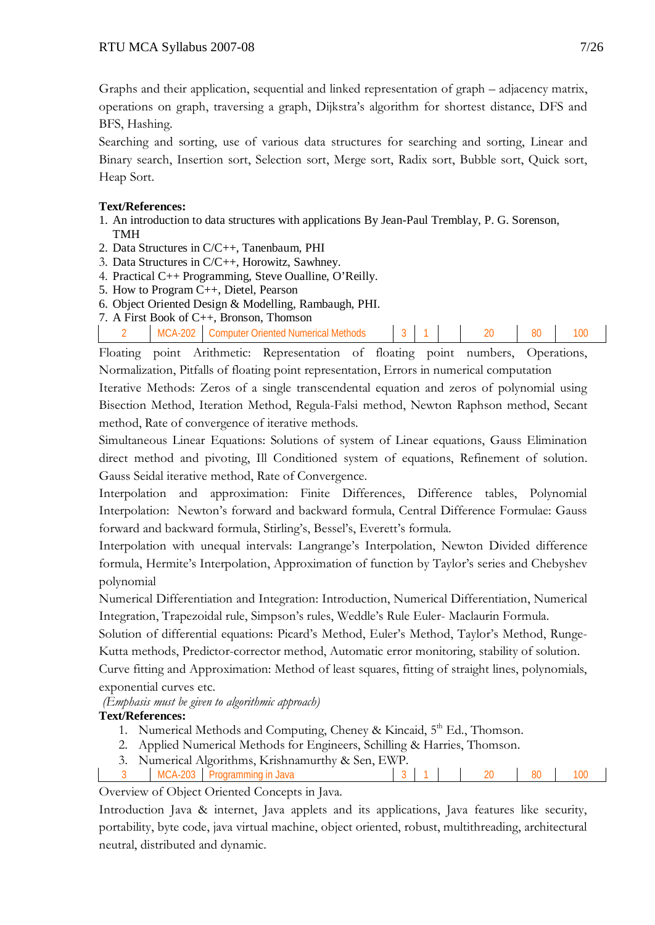Graphs and their application, sequential and linked representation of graph – adjacency matrix, operations on graph, traversing a graph, Dijkstra's algorithm for shortest distance, DFS and BFS, Hashing.

Searching and sorting, use of various data structures for searching and sorting, Linear and Binary search, Insertion sort, Selection sort, Merge sort, Radix sort, Bubble sort, Quick sort, Heap Sort.

## **Text/References:**

- 1. An introduction to data structures with applications By Jean-Paul Tremblay, P. G. Sorenson, TMH
- 2. Data Structures in C/C++, Tanenbaum, PHI
- 3. Data Structures in C/C++, Horowitz, Sawhney.
- 4. Practical C++ Programming, Steve Oualline, O'Reilly.
- 5. How to Program C++, Dietel, Pearson
- 6. Object Oriented Design & Modelling, Rambaugh, PHI.
- 7. A First Book of C++, Bronson, Thomson

| ∩∩י<br>:omnuter<br><b>Driented</b><br>N<br>ગnoo |
|-------------------------------------------------|
|-------------------------------------------------|

Floating point Arithmetic: Representation of floating point numbers, Operations, Normalization, Pitfalls of floating point representation, Errors in numerical computation

Iterative Methods: Zeros of a single transcendental equation and zeros of polynomial using Bisection Method, Iteration Method, Regula-Falsi method, Newton Raphson method, Secant method, Rate of convergence of iterative methods.

Simultaneous Linear Equations: Solutions of system of Linear equations, Gauss Elimination direct method and pivoting, Ill Conditioned system of equations, Refinement of solution. Gauss Seidal iterative method, Rate of Convergence.

Interpolation and approximation: Finite Differences, Difference tables, Polynomial Interpolation: Newton's forward and backward formula, Central Difference Formulae: Gauss forward and backward formula, Stirling's, Bessel's, Everett's formula.

Interpolation with unequal intervals: Langrange's Interpolation, Newton Divided difference formula, Hermite's Interpolation, Approximation of function by Taylor's series and Chebyshev polynomial

Numerical Differentiation and Integration: Introduction, Numerical Differentiation, Numerical Integration, Trapezoidal rule, Simpson's rules, Weddle's Rule Euler- Maclaurin Formula.

Solution of differential equations: Picard's Method, Euler's Method, Taylor's Method, Runge-Kutta methods, Predictor-corrector method, Automatic error monitoring, stability of solution.

Curve fitting and Approximation: Method of least squares, fitting of straight lines, polynomials, exponential curves etc.

*(Emphasis must be given to algorithmic approach)*

# **Text/References:**

- 1. Numerical Methods and Computing, Cheney & Kincaid, 5<sup>th</sup> Ed., Thomson.
- 2. Applied Numerical Methods for Engineers, Schilling & Harries, Thomson.
- 3. Numerical Algorithms, Krishnamurthy & Sen, EWP.
- MCA-203 Programming in Java 3 1 20 80 100

Overview of Object Oriented Concepts in Java.

Introduction Java & internet, Java applets and its applications, Java features like security, portability, byte code, java virtual machine, object oriented, robust, multithreading, architectural neutral, distributed and dynamic.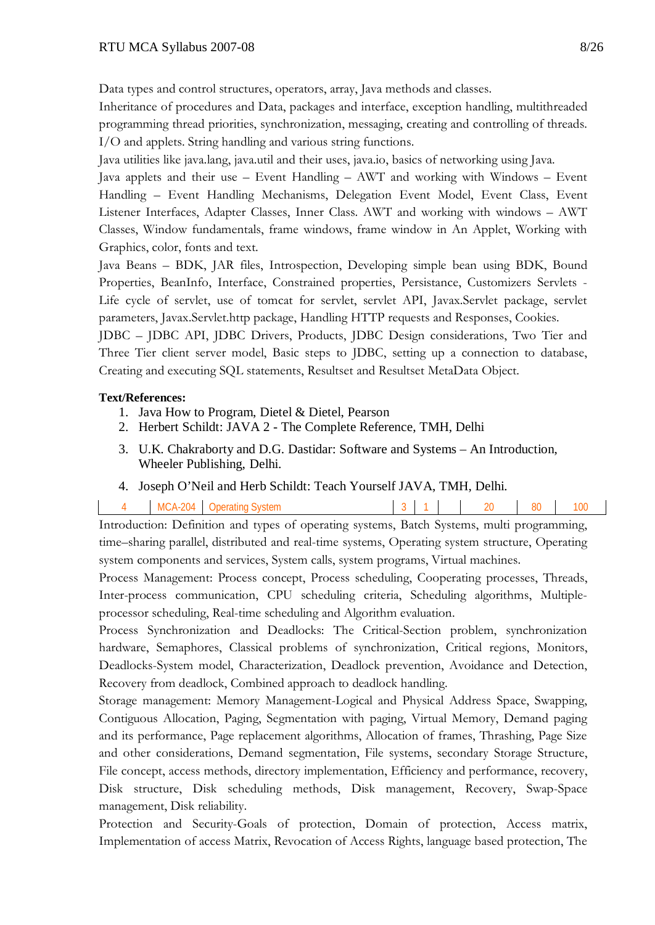Data types and control structures, operators, array, Java methods and classes.

Inheritance of procedures and Data, packages and interface, exception handling, multithreaded programming thread priorities, synchronization, messaging, creating and controlling of threads. I/O and applets. String handling and various string functions.

Java utilities like java.lang, java.util and their uses, java.io, basics of networking using Java.

Java applets and their use – Event Handling – AWT and working with Windows – Event Handling – Event Handling Mechanisms, Delegation Event Model, Event Class, Event Listener Interfaces, Adapter Classes, Inner Class. AWT and working with windows – AWT Classes, Window fundamentals, frame windows, frame window in An Applet, Working with Graphics, color, fonts and text.

Java Beans – BDK, JAR files, Introspection, Developing simple bean using BDK, Bound Properties, BeanInfo, Interface, Constrained properties, Persistance, Customizers Servlets - Life cycle of servlet, use of tomcat for servlet, servlet API, Javax.Servlet package, servlet parameters, Javax.Servlet.http package, Handling HTTP requests and Responses, Cookies.

JDBC – JDBC API, JDBC Drivers, Products, JDBC Design considerations, Two Tier and Three Tier client server model, Basic steps to JDBC, setting up a connection to database, Creating and executing SQL statements, Resultset and Resultset MetaData Object.

# **Text/References:**

- 1. Java How to Program, Dietel & Dietel, Pearson
- 2. Herbert Schildt: JAVA 2 The Complete Reference, TMH, Delhi
- 3. U.K. Chakraborty and D.G. Dastidar: Software and Systems An Introduction, Wheeler Publishing, Delhi.
- 4. Joseph O'Neil and Herb Schildt: Teach Yourself JAVA, TMH, Delhi.

| $-204$<br>MCA-2<br>Jperating '<br><b>System</b> |  |  | 20 | o٥<br>ου | 100 |
|-------------------------------------------------|--|--|----|----------|-----|
|-------------------------------------------------|--|--|----|----------|-----|

Introduction: Definition and types of operating systems, Batch Systems, multi programming, time–sharing parallel, distributed and real-time systems, Operating system structure, Operating system components and services, System calls, system programs, Virtual machines.

Process Management: Process concept, Process scheduling, Cooperating processes, Threads, Inter-process communication, CPU scheduling criteria, Scheduling algorithms, Multipleprocessor scheduling, Real-time scheduling and Algorithm evaluation.

Process Synchronization and Deadlocks: The Critical-Section problem, synchronization hardware, Semaphores, Classical problems of synchronization, Critical regions, Monitors, Deadlocks-System model, Characterization, Deadlock prevention, Avoidance and Detection, Recovery from deadlock, Combined approach to deadlock handling.

Storage management: Memory Management-Logical and Physical Address Space, Swapping, Contiguous Allocation, Paging, Segmentation with paging, Virtual Memory, Demand paging and its performance, Page replacement algorithms, Allocation of frames, Thrashing, Page Size and other considerations, Demand segmentation, File systems, secondary Storage Structure, File concept, access methods, directory implementation, Efficiency and performance, recovery, Disk structure, Disk scheduling methods, Disk management, Recovery, Swap-Space management, Disk reliability.

Protection and Security-Goals of protection, Domain of protection, Access matrix, Implementation of access Matrix, Revocation of Access Rights, language based protection, The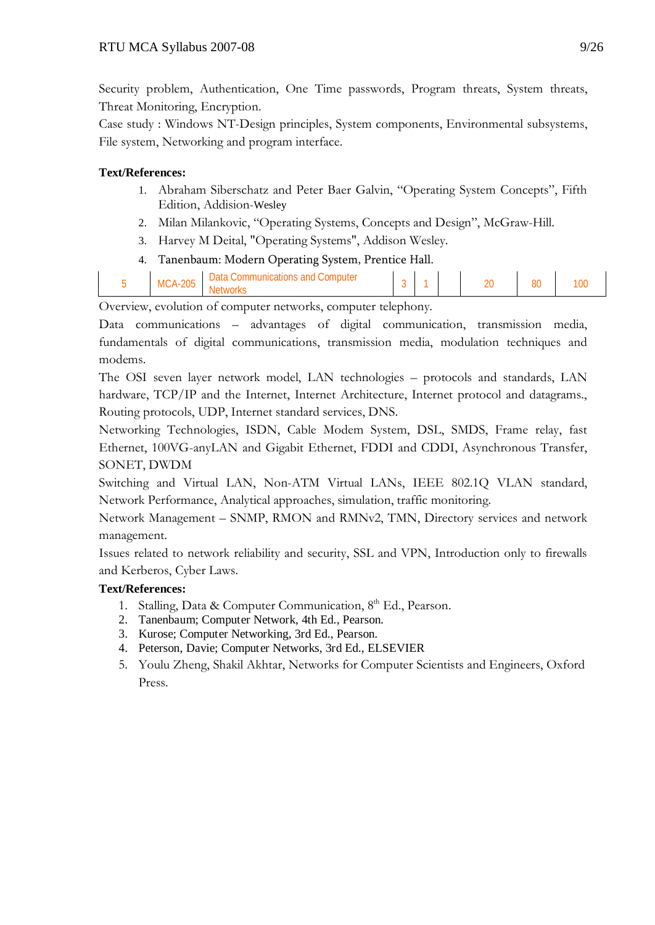Security problem, Authentication, One Time passwords, Program threats, System threats, Threat Monitoring, Encryption.

Case study : Windows NT-Design principles, System components, Environmental subsystems, File system, Networking and program interface.

# **Text/References:**

- 1. Abraham Siberschatz and Peter Baer Galvin, "Operating System Concepts", Fifth Edition, Addision-Wesley
- 2. Milan Milankovic, "Operating Systems, Concepts and Design", McGraw-Hill.
- 3. Harvey M Deital, "Operating Systems", Addison Wesley.
- 4. Tanenbaum: Modern Operating System, Prentice Hall.

|  |  | ገበቱ<br>МC | Datal<br>.ommunicatic<br>ombute<br>nns<br>an | s. |  |  | n o | 80 | w |
|--|--|-----------|----------------------------------------------|----|--|--|-----|----|---|
|--|--|-----------|----------------------------------------------|----|--|--|-----|----|---|

Overview, evolution of computer networks, computer telephony.

Data communications – advantages of digital communication, transmission media, fundamentals of digital communications, transmission media, modulation techniques and modems.

The OSI seven layer network model, LAN technologies – protocols and standards, LAN hardware, TCP/IP and the Internet, Internet Architecture, Internet protocol and datagrams., Routing protocols, UDP, Internet standard services, DNS.

Networking Technologies, ISDN, Cable Modem System, DSL, SMDS, Frame relay, fast Ethernet, 100VG-anyLAN and Gigabit Ethernet, FDDI and CDDI, Asynchronous Transfer, SONET, DWDM

Switching and Virtual LAN, Non-ATM Virtual LANs, IEEE 802.1Q VLAN standard, Network Performance, Analytical approaches, simulation, traffic monitoring.

Network Management – SNMP, RMON and RMNv2, TMN, Directory services and network management.

Issues related to network reliability and security, SSL and VPN, Introduction only to firewalls and Kerberos, Cyber Laws.

- 1. Stalling, Data & Computer Communication, 8<sup>th</sup> Ed., Pearson.
- 2. Tanenbaum; Computer Network, 4th Ed., Pearson.
- 3. Kurose; Computer Networking, 3rd Ed., Pearson.
- 4. Peterson, Davie; Computer Networks, 3rd Ed., ELSEVIER
- 5. Youlu Zheng, Shakil Akhtar, Networks for Computer Scientists and Engineers, Oxford Press.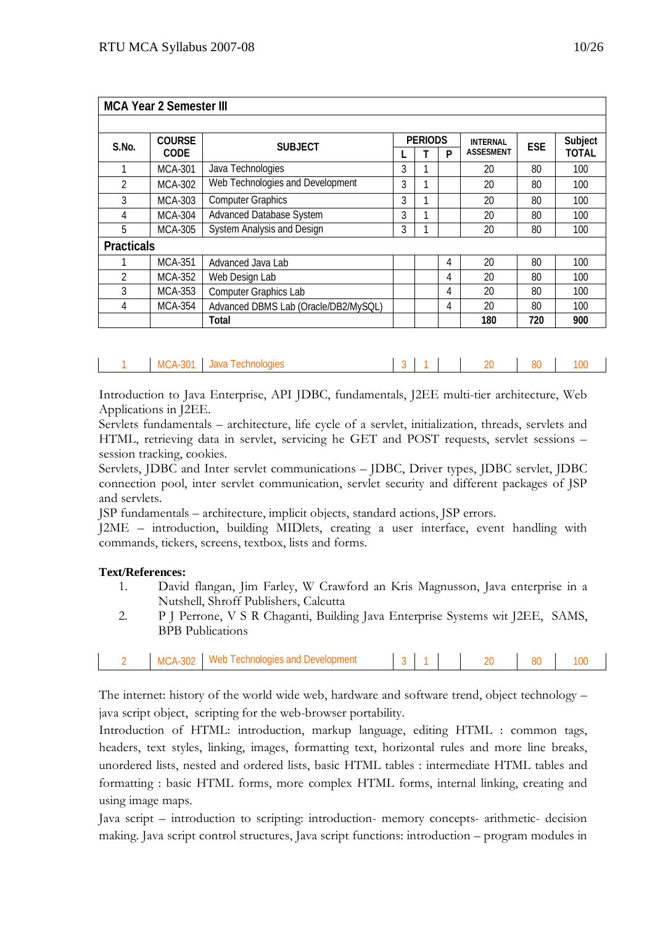|                   | <b>MCA Year 2 Semester III</b> |                                      |   |                |   |                  |            |              |
|-------------------|--------------------------------|--------------------------------------|---|----------------|---|------------------|------------|--------------|
|                   |                                |                                      |   |                |   |                  |            |              |
| S.No.             | <b>COURSE</b>                  | <b>SUBJECT</b>                       |   | <b>PERIODS</b> |   | <b>INTERNAL</b>  | <b>ESE</b> | Subject      |
|                   | <b>CODE</b>                    |                                      |   |                | P | <b>ASSESMENT</b> |            | <b>TOTAL</b> |
|                   | <b>MCA-301</b>                 | Java Technologies                    | 3 |                |   | 20               | 80         | 100          |
| 2                 | MCA-302                        | Web Technologies and Development     | 3 |                |   | 20               | 80         | 100          |
| 3                 | MCA-303                        | <b>Computer Graphics</b>             | 3 |                |   | 20               | 80         | 100          |
| 4                 | <b>MCA-304</b>                 | <b>Advanced Database System</b>      | 3 |                |   | 20               | 80         | 100          |
| 5                 | <b>MCA-305</b>                 | <b>System Analysis and Design</b>    | 3 |                |   | 20               | 80         | 100          |
| <b>Practicals</b> |                                |                                      |   |                |   |                  |            |              |
|                   | <b>MCA-351</b>                 | Advanced Java Lab                    |   |                | 4 | 20               | 80         | 100          |
| $\mathfrak{D}$    | MCA-352                        | Web Design Lab                       |   |                | 4 | 20               | 80         | 100          |
| 3                 | MCA-353                        | <b>Computer Graphics Lab</b>         |   |                | 4 | 20               | 80         | 100          |
| 4                 | <b>MCA-354</b>                 | Advanced DBMS Lab (Oracle/DB2/MySQL) |   |                | 4 | 20               | 80         | 100          |
|                   |                                | Total                                |   |                |   | 180              | 720        | 900          |

Introduction to Java Enterprise, API JDBC, fundamentals, J2EE multi-tier architecture, Web Applications in J2EE.

Servlets fundamentals – architecture, life cycle of a servlet, initialization, threads, servlets and HTML, retrieving data in servlet, servicing he GET and POST requests, servlet sessions – session tracking, cookies.

Servlets, JDBC and Inter servlet communications – JDBC, Driver types, JDBC servlet, JDBC connection pool, inter servlet communication, servlet security and different packages of JSP and servlets.

JSP fundamentals – architecture, implicit objects, standard actions, JSP errors.

J2ME – introduction, building MIDlets, creating a user interface, event handling with commands, tickers, screens, textbox, lists and forms.

## **Text/References:**

- 1. David flangan, Jim Farley, W Crawford an Kris Magnusson, Java enterprise in a Nutshell, Shroff Publishers, Calcutta
- 2. P J Perrone, V S R Chaganti, Building Java Enterprise Systems wit J2EE, SAMS, BPB Publications

| $M\Delta n$<br>≙∩כ<br>ACHNOIOQIAS |
|-----------------------------------|
|-----------------------------------|

The internet: history of the world wide web, hardware and software trend, object technology – java script object, scripting for the web-browser portability.

Introduction of HTML: introduction, markup language, editing HTML : common tags, headers, text styles, linking, images, formatting text, horizontal rules and more line breaks, unordered lists, nested and ordered lists, basic HTML tables : intermediate HTML tables and formatting : basic HTML forms, more complex HTML forms, internal linking, creating and using image maps.

Java script – introduction to scripting: introduction- memory concepts- arithmetic- decision making. Java script control structures, Java script functions: introduction – program modules in  $\overline{\phantom{a}}$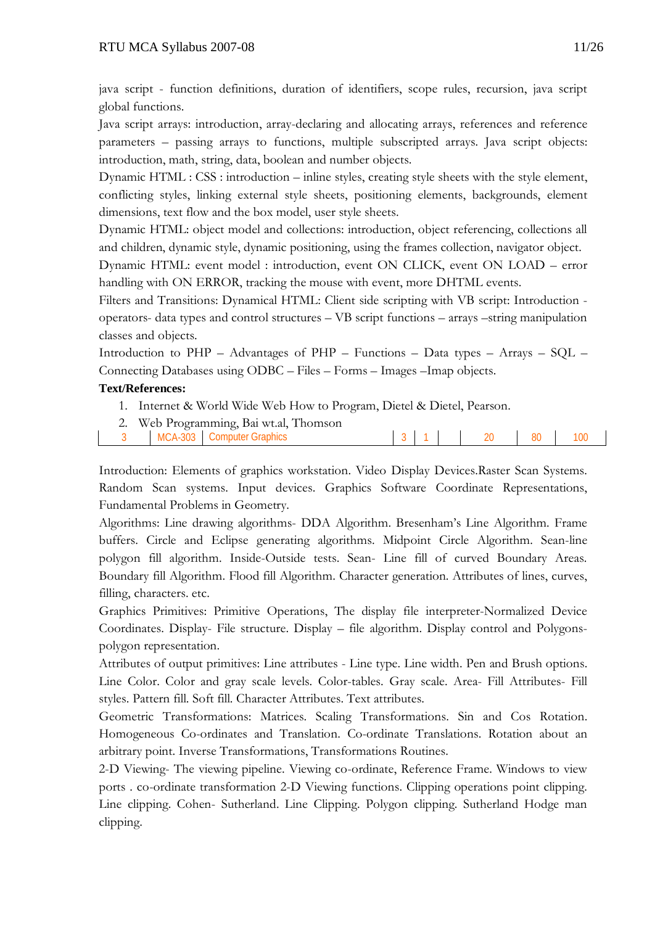java script - function definitions, duration of identifiers, scope rules, recursion, java script global functions.

Java script arrays: introduction, array-declaring and allocating arrays, references and reference parameters – passing arrays to functions, multiple subscripted arrays. Java script objects: introduction, math, string, data, boolean and number objects.

Dynamic HTML : CSS : introduction – inline styles, creating style sheets with the style element, conflicting styles, linking external style sheets, positioning elements, backgrounds, element dimensions, text flow and the box model, user style sheets.

Dynamic HTML: object model and collections: introduction, object referencing, collections all and children, dynamic style, dynamic positioning, using the frames collection, navigator object.

Dynamic HTML: event model : introduction, event ON CLICK, event ON LOAD – error handling with ON ERROR, tracking the mouse with event, more DHTML events.

Filters and Transitions: Dynamical HTML: Client side scripting with VB script: Introduction operators- data types and control structures – VB script functions – arrays –string manipulation classes and objects.

Introduction to PHP – Advantages of PHP – Functions – Data types – Arrays – SQL – Connecting Databases using ODBC – Files – Forms – Images –Imap objects.

# **Text/References:**

- 1. Internet & World Wide Web How to Program, Dietel & Dietel, Pearson.
- 2. Web Programming, Bai wt.al, Thomson
- 3 MCA-303 Computer Graphics 3 1 20 80 100

Introduction: Elements of graphics workstation. Video Display Devices.Raster Scan Systems. Random Scan systems. Input devices. Graphics Software Coordinate Representations, Fundamental Problems in Geometry.

Algorithms: Line drawing algorithms- DDA Algorithm. Bresenham's Line Algorithm. Frame buffers. Circle and Eclipse generating algorithms. Midpoint Circle Algorithm. Sean-line polygon fill algorithm. Inside-Outside tests. Sean- Line fill of curved Boundary Areas. Boundary fill Algorithm. Flood fill Algorithm. Character generation. Attributes of lines, curves, filling, characters. etc.

Graphics Primitives: Primitive Operations, The display file interpreter-Normalized Device Coordinates. Display- File structure. Display – file algorithm. Display control and Polygonspolygon representation.

Attributes of output primitives: Line attributes - Line type. Line width. Pen and Brush options. Line Color. Color and gray scale levels. Color-tables. Gray scale. Area- Fill Attributes- Fill styles. Pattern fill. Soft fill. Character Attributes. Text attributes.

Geometric Transformations: Matrices. Scaling Transformations. Sin and Cos Rotation. Homogeneous Co-ordinates and Translation. Co-ordinate Translations. Rotation about an arbitrary point. Inverse Transformations, Transformations Routines.

2-D Viewing- The viewing pipeline. Viewing co-ordinate, Reference Frame. Windows to view ports . co-ordinate transformation 2-D Viewing functions. Clipping operations point clipping. Line clipping. Cohen- Sutherland. Line Clipping. Polygon clipping. Sutherland Hodge man clipping.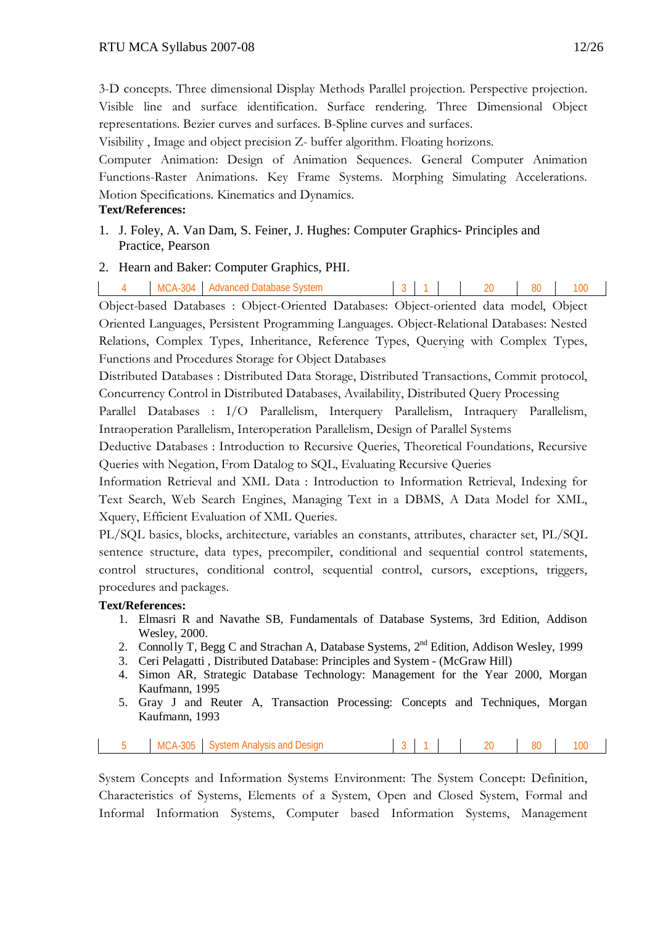3-D concepts. Three dimensional Display Methods Parallel projection. Perspective projection. Visible line and surface identification. Surface rendering. Three Dimensional Object representations. Bezier curves and surfaces. B-Spline curves and surfaces.

Visibility , Image and object precision Z- buffer algorithm. Floating horizons.

Computer Animation: Design of Animation Sequences. General Computer Animation Functions-Raster Animations. Key Frame Systems. Morphing Simulating Accelerations. Motion Specifications. Kinematics and Dynamics.

#### **Text/References:**

1. J. Foley, A. Van Dam, S. Feiner, J. Hughes: Computer Graphics- Principles and Practice, Pearson

## 2. Hearn and Baker: Computer Graphics, PHI.

|     | $MCA-304$ | ⊟ Advanced Database System |     |  | 3 1 20 80 100 |     |
|-----|-----------|----------------------------|-----|--|---------------|-----|
| ___ |           | ___<br>___                 | ___ |  |               | ___ |

Object-based Databases : Object-Oriented Databases: Object-oriented data model, Object Oriented Languages, Persistent Programming Languages. Object-Relational Databases: Nested Relations, Complex Types, Inheritance, Reference Types, Querying with Complex Types, Functions and Procedures Storage for Object Databases

Distributed Databases : Distributed Data Storage, Distributed Transactions, Commit protocol, Concurrency Control in Distributed Databases, Availability, Distributed Query Processing

Parallel Databases : I/O Parallelism, Interquery Parallelism, Intraquery Parallelism, Intraoperation Parallelism, Interoperation Parallelism, Design of Parallel Systems

Deductive Databases : Introduction to Recursive Queries, Theoretical Foundations, Recursive Queries with Negation, From Datalog to SQL, Evaluating Recursive Queries

Information Retrieval and XML Data : Introduction to Information Retrieval, Indexing for Text Search, Web Search Engines, Managing Text in a DBMS, A Data Model for XML, Xquery, Efficient Evaluation of XML Queries.

PL/SQL basics, blocks, architecture, variables an constants, attributes, character set, PL/SQL sentence structure, data types, precompiler, conditional and sequential control statements, control structures, conditional control, sequential control, cursors, exceptions, triggers, procedures and packages.

## **Text/References:**

- 1. Elmasri R and Navathe SB, Fundamentals of Database Systems, 3rd Edition, Addison Wesley, 2000.
- 2. Connolly T, Begg C and Strachan A, Database Systems,  $2<sup>nd</sup>$  Edition, Addison Wesley, 1999
- 3. Ceri Pelagatti , Distributed Database: Principles and System (McGraw Hill)
- 4. Simon AR, Strategic Database Technology: Management for the Year 2000, Morgan Kaufmann, 1995
- 5. Gray J and Reuter A, Transaction Processing: Concepts and Techniques, Morgan Kaufmann, 1993

| ገበ⊾<br>M<br>$\sqrt{ }$<br>.<br>w |
|----------------------------------|
|----------------------------------|

System Concepts and Information Systems Environment: The System Concept: Definition, Characteristics of Systems, Elements of a System, Open and Closed System, Formal and Informal Information Systems, Computer based Information Systems, Management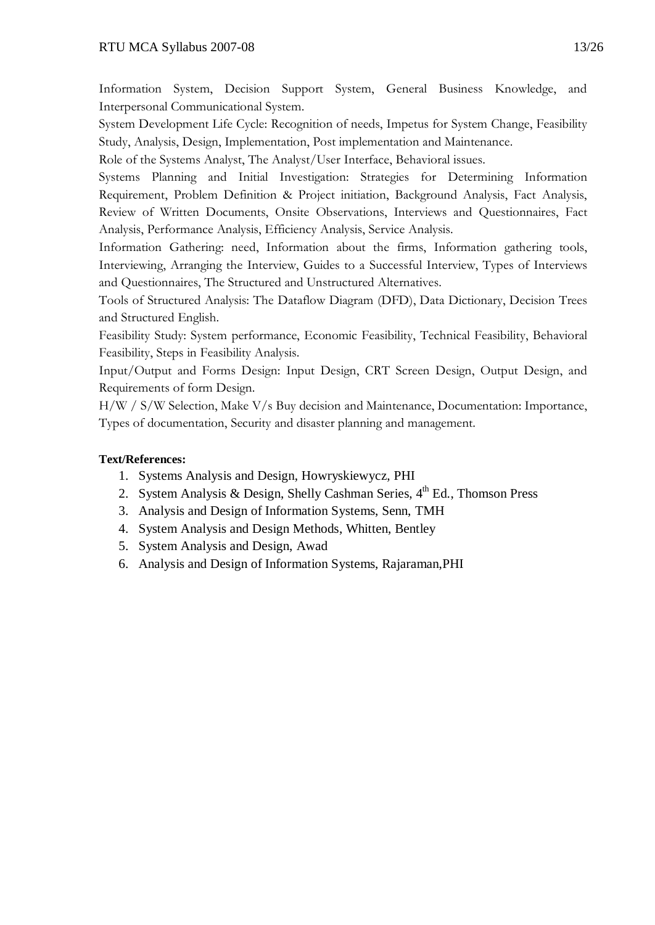Information System, Decision Support System, General Business Knowledge, and Interpersonal Communicational System.

System Development Life Cycle: Recognition of needs, Impetus for System Change, Feasibility Study, Analysis, Design, Implementation, Post implementation and Maintenance.

Role of the Systems Analyst, The Analyst/User Interface, Behavioral issues.

Systems Planning and Initial Investigation: Strategies for Determining Information Requirement, Problem Definition & Project initiation, Background Analysis, Fact Analysis, Review of Written Documents, Onsite Observations, Interviews and Questionnaires, Fact Analysis, Performance Analysis, Efficiency Analysis, Service Analysis.

Information Gathering: need, Information about the firms, Information gathering tools, Interviewing, Arranging the Interview, Guides to a Successful Interview, Types of Interviews and Questionnaires, The Structured and Unstructured Alternatives.

Tools of Structured Analysis: The Dataflow Diagram (DFD), Data Dictionary, Decision Trees and Structured English.

Feasibility Study: System performance, Economic Feasibility, Technical Feasibility, Behavioral Feasibility, Steps in Feasibility Analysis.

Input/Output and Forms Design: Input Design, CRT Screen Design, Output Design, and Requirements of form Design.

H/W / S/W Selection, Make V/s Buy decision and Maintenance, Documentation: Importance, Types of documentation, Security and disaster planning and management.

- 1. Systems Analysis and Design, Howryskiewycz, PHI
- 2. System Analysis & Design, Shelly Cashman Series, 4th Ed., Thomson Press
- 3. Analysis and Design of Information Systems, Senn, TMH
- 4. System Analysis and Design Methods, Whitten, Bentley
- 5. System Analysis and Design, Awad
- 6. Analysis and Design of Information Systems, Rajaraman,PHI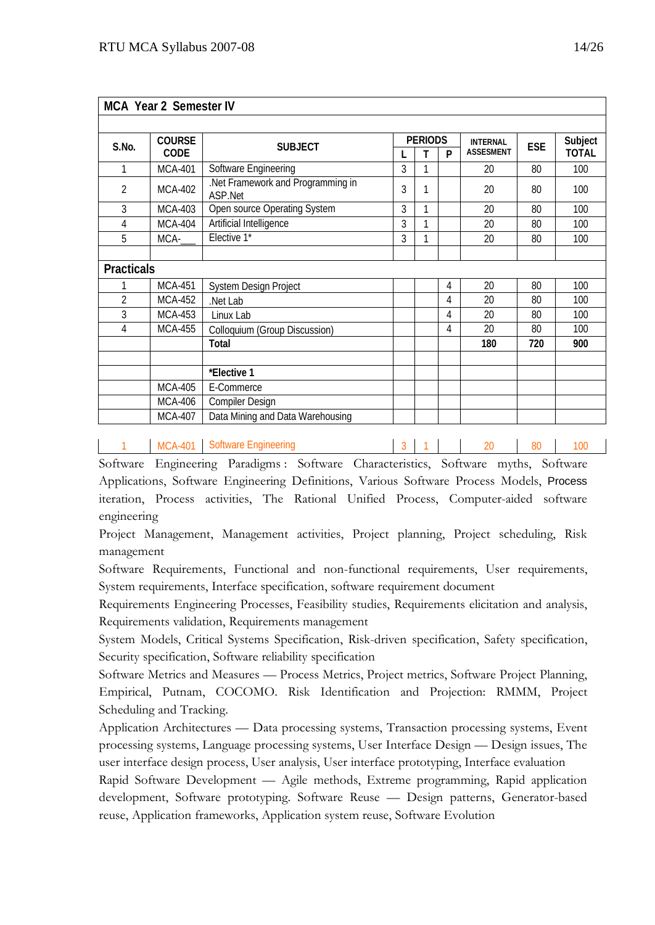|                   | <b>MCA Year 2 Semester IV</b> |                                             |   |                |   |                  |            |              |
|-------------------|-------------------------------|---------------------------------------------|---|----------------|---|------------------|------------|--------------|
|                   |                               |                                             |   |                |   |                  |            |              |
| S.No.             | <b>COURSE</b>                 | <b>SUBJECT</b>                              |   | <b>PERIODS</b> |   | <b>INTERNAL</b>  | <b>ESE</b> | Subject      |
|                   | CODE                          |                                             |   | т              | P | <b>ASSESMENT</b> |            | <b>TOTAL</b> |
| 1                 | <b>MCA-401</b>                | Software Engineering                        | 3 | 1              |   | 20               | 80         | 100          |
| $\overline{2}$    | <b>MCA-402</b>                | Net Framework and Programming in<br>ASP.Net | 3 | 1              |   | 20               | 80         | 100          |
| 3                 | <b>MCA-403</b>                | Open source Operating System                | 3 | 1              |   | 20               | 80         | 100          |
| 4                 | <b>MCA-404</b>                | Artificial Intelligence                     | 3 | 1              |   | 20               | 80         | 100          |
| 5                 | MCA-                          | Elective 1*                                 | 3 | 1              |   | 20               | 80         | 100          |
|                   |                               |                                             |   |                |   |                  |            |              |
| <b>Practicals</b> |                               |                                             |   |                |   |                  |            |              |
|                   | <b>MCA-451</b>                | System Design Project                       |   |                | 4 | 20               | 80         | 100          |
| 2                 | <b>MCA-452</b>                | Net Lab                                     |   |                | 4 | 20               | 80         | 100          |
| 3                 | <b>MCA-453</b>                | Linux Lab                                   |   |                | 4 | 20               | 80         | 100          |
| 4                 | <b>MCA-455</b>                | Colloquium (Group Discussion)               |   |                | 4 | 20               | 80         | 100          |
|                   |                               | Total                                       |   |                |   | 180              | 720        | 900          |
|                   |                               |                                             |   |                |   |                  |            |              |
|                   |                               | *Elective 1                                 |   |                |   |                  |            |              |
|                   | <b>MCA-405</b>                | E-Commerce                                  |   |                |   |                  |            |              |
|                   | MCA-406                       | <b>Compiler Design</b>                      |   |                |   |                  |            |              |
|                   | <b>MCA-407</b>                | Data Mining and Data Warehousing            |   |                |   |                  |            |              |

1 MCA-401 Software Engineering 2 1 3 1 20 80 100

Software Engineering Paradigms : Software Characteristics, Software myths, Software Applications, Software Engineering Definitions, Various Software Process Models, Process iteration, Process activities, The Rational Unified Process, Computer-aided software engineering

Project Management, Management activities, Project planning, Project scheduling, Risk management

Software Requirements, Functional and non-functional requirements, User requirements, System requirements, Interface specification, software requirement document

Requirements Engineering Processes, Feasibility studies, Requirements elicitation and analysis, Requirements validation, Requirements management

System Models, Critical Systems Specification, Risk-driven specification, Safety specification, Security specification, Software reliability specification

Software Metrics and Measures — Process Metrics, Project metrics, Software Project Planning, Empirical, Putnam, COCOMO. Risk Identification and Projection: RMMM, Project Scheduling and Tracking.

Application Architectures — Data processing systems, Transaction processing systems, Event processing systems, Language processing systems, User Interface Design — Design issues, The user interface design process, User analysis, User interface prototyping, Interface evaluation

Rapid Software Development — Agile methods, Extreme programming, Rapid application development, Software prototyping. Software Reuse — Design patterns, Generator-based reuse, Application frameworks, Application system reuse, Software Evolution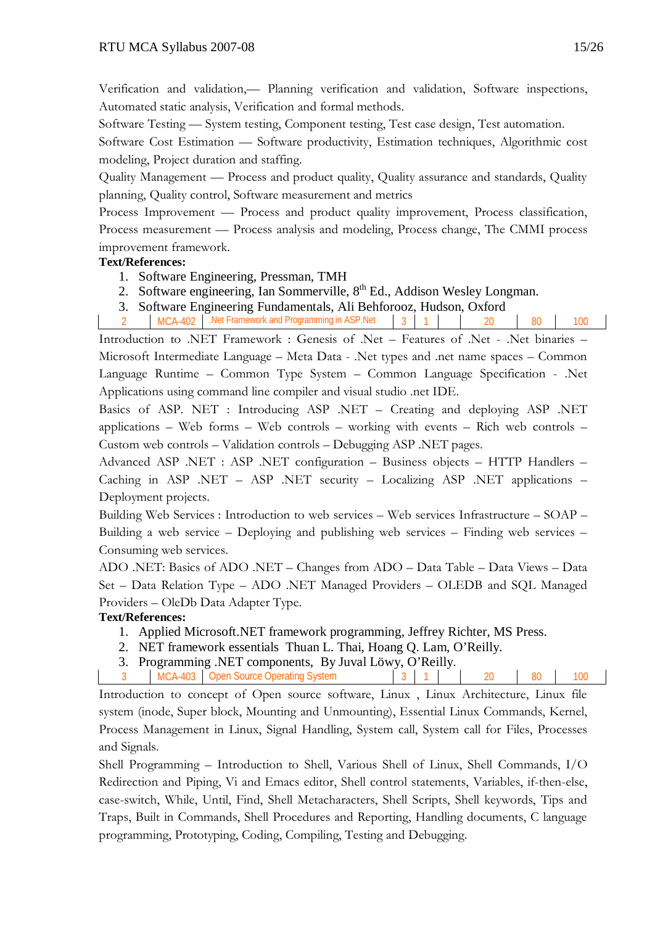Verification and validation,— Planning verification and validation, Software inspections, Automated static analysis, Verification and formal methods.

Software Testing — System testing, Component testing, Test case design, Test automation.

Software Cost Estimation — Software productivity, Estimation techniques, Algorithmic cost modeling, Project duration and staffing.

Quality Management — Process and product quality, Quality assurance and standards, Quality planning, Quality control, Software measurement and metrics

Process Improvement — Process and product quality improvement, Process classification, Process measurement — Process analysis and modeling, Process change, The CMMI process improvement framework.

# **Text/References:**

- 1. Software Engineering, Pressman, TMH
- 2. Software engineering, Ian Sommerville, 8<sup>th</sup> Ed., Addison Wesley Longman.
- 3. Software Engineering Fundamentals, Ali Behforooz, Hudson, Oxford

MCA-402 .Net Framework and Programming in ASP.Net 3 1 20 20 80 100

Introduction to .NET Framework : Genesis of .Net – Features of .Net - .Net binaries – Microsoft Intermediate Language – Meta Data - .Net types and .net name spaces – Common Language Runtime – Common Type System – Common Language Specification - .Net Applications using command line compiler and visual studio .net IDE.

Basics of ASP. NET : Introducing ASP .NET – Creating and deploying ASP .NET applications – Web forms – Web controls – working with events – Rich web controls – Custom web controls – Validation controls – Debugging ASP .NET pages.

Advanced ASP .NET : ASP .NET configuration – Business objects – HTTP Handlers – Caching in ASP .NET – ASP .NET security – Localizing ASP .NET applications – Deployment projects.

Building Web Services : Introduction to web services – Web services Infrastructure – SOAP – Building a web service – Deploying and publishing web services – Finding web services – Consuming web services.

ADO .NET: Basics of ADO .NET – Changes from ADO – Data Table – Data Views – Data Set – Data Relation Type – ADO .NET Managed Providers – OLEDB and SQL Managed Providers – OleDb Data Adapter Type.

# **Text/References:**

- 1. Applied Microsoft.NET framework programming, Jeffrey Richter, MS Press.
- 2. NET framework essentials Thuan L. Thai, Hoang Q. Lam, O'Reilly.
- 3. Programming .NET components, By Juval Löwy, O'Reilly.
- 3 MCA-403 Open Source Operating System 3 1 20 80 100

Introduction to concept of Open source software, Linux , Linux Architecture, Linux file system (inode, Super block, Mounting and Unmounting), Essential Linux Commands, Kernel, Process Management in Linux, Signal Handling, System call, System call for Files, Processes and Signals.

Shell Programming – Introduction to Shell, Various Shell of Linux, Shell Commands, I/O Redirection and Piping, Vi and Emacs editor, Shell control statements, Variables, if-then-else, case-switch, While, Until, Find, Shell Metacharacters, Shell Scripts, Shell keywords, Tips and Traps, Built in Commands, Shell Procedures and Reporting, Handling documents, C language programming, Prototyping, Coding, Compiling, Testing and Debugging.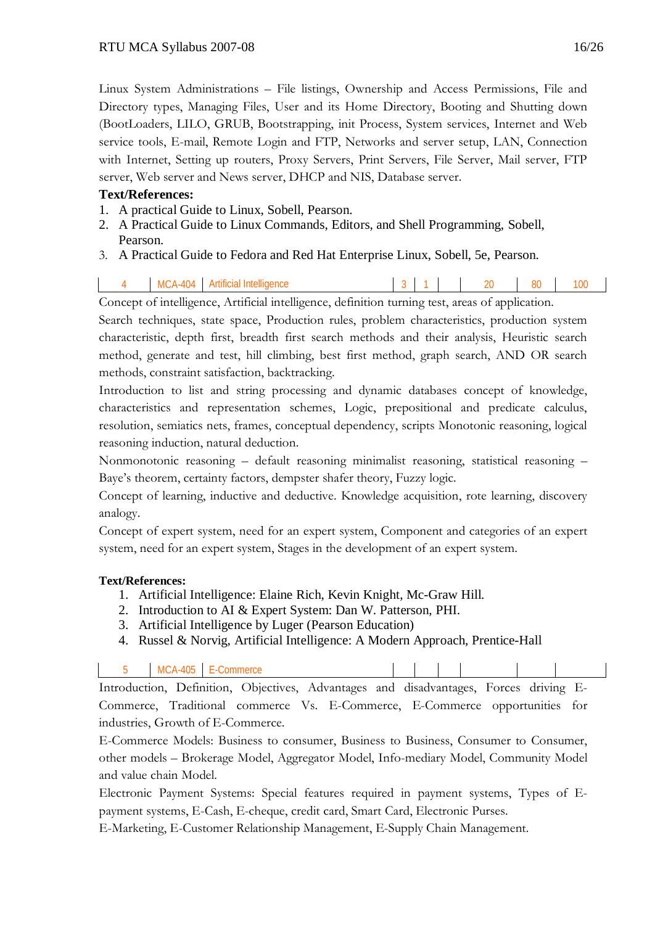Linux System Administrations – File listings, Ownership and Access Permissions, File and Directory types, Managing Files, User and its Home Directory, Booting and Shutting down (BootLoaders, LILO, GRUB, Bootstrapping, init Process, System services, Internet and Web service tools, E-mail, Remote Login and FTP, Networks and server setup, LAN, Connection with Internet, Setting up routers, Proxy Servers, Print Servers, File Server, Mail server, FTP server, Web server and News server, DHCP and NIS, Database server.

# **Text/References:**

- 1. A practical Guide to Linux, Sobell, Pearson.
- 2. A Practical Guide to Linux Commands, Editors, and Shell Programming, Sobell, Pearson.
- 3. A Practical Guide to Fedora and Red Hat Enterprise Linux, Sobell, 5e, Pearson.
- MCA-404 Artificial Intelligence 1 3 1 1 20 80 100

Concept of intelligence, Artificial intelligence, definition turning test, areas of application.

Search techniques, state space, Production rules, problem characteristics, production system characteristic, depth first, breadth first search methods and their analysis, Heuristic search method, generate and test, hill climbing, best first method, graph search, AND OR search methods, constraint satisfaction, backtracking.

Introduction to list and string processing and dynamic databases concept of knowledge, characteristics and representation schemes, Logic, prepositional and predicate calculus, resolution, semiatics nets, frames, conceptual dependency, scripts Monotonic reasoning, logical reasoning induction, natural deduction.

Nonmonotonic reasoning – default reasoning minimalist reasoning, statistical reasoning – Baye's theorem, certainty factors, dempster shafer theory, Fuzzy logic.

Concept of learning, inductive and deductive. Knowledge acquisition, rote learning, discovery analogy.

Concept of expert system, need for an expert system, Component and categories of an expert system, need for an expert system, Stages in the development of an expert system.

# **Text/References:**

- 1. Artificial Intelligence: Elaine Rich, Kevin Knight, Mc-Graw Hill.
- 2. Introduction to AI & Expert System: Dan W. Patterson, PHI.
- 3. Artificial Intelligence by Luger (Pearson Education)
- 4. Russel & Norvig, Artificial Intelligence: A Modern Approach, Prentice-Hall

| $\tau$ 1 $\tau$ $\tau$ $\sigma$ $\tau$ | $\sim$ $\sim$ $\sim$ |  |  | $\cdot$ $\cdot$ |  |
|----------------------------------------|----------------------|--|--|-----------------|--|

Introduction, Definition, Objectives, Advantages and disadvantages, Forces driving E-Commerce, Traditional commerce Vs. E-Commerce, E-Commerce opportunities for industries, Growth of E-Commerce.

E-Commerce Models: Business to consumer, Business to Business, Consumer to Consumer, other models – Brokerage Model, Aggregator Model, Info-mediary Model, Community Model and value chain Model.

Electronic Payment Systems: Special features required in payment systems, Types of Epayment systems, E-Cash, E-cheque, credit card, Smart Card, Electronic Purses.

E-Marketing, E-Customer Relationship Management, E-Supply Chain Management.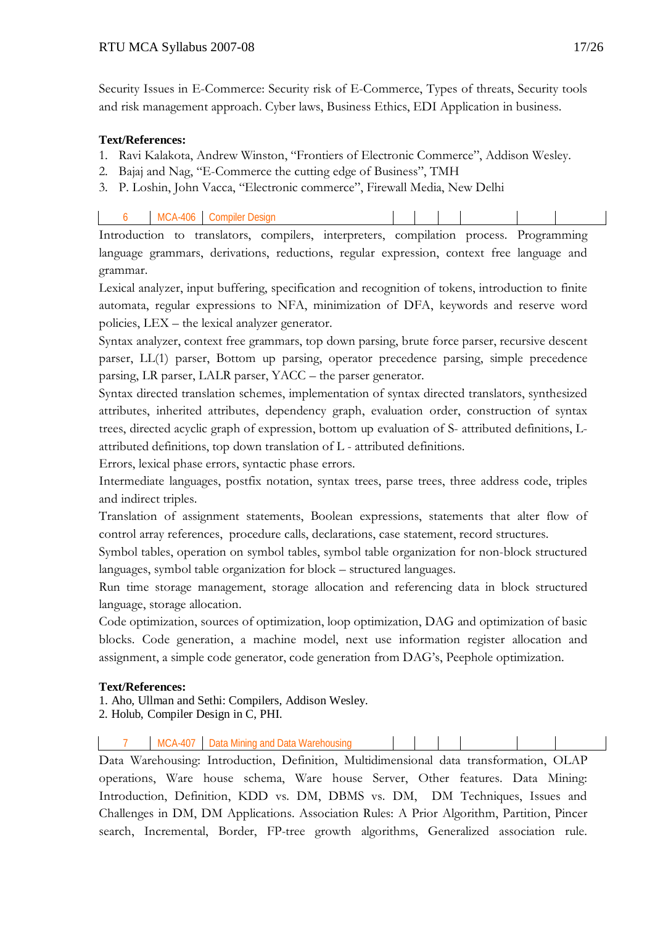Security Issues in E-Commerce: Security risk of E-Commerce, Types of threats, Security tools and risk management approach. Cyber laws, Business Ethics, EDI Application in business.

#### **Text/References:**

- 1. Ravi Kalakota, Andrew Winston, "Frontiers of Electronic Commerce", Addison Wesley.
- 2. Bajaj and Nag, "E-Commerce the cutting edge of Business", TMH
- 3. P. Loshin, John Vacca, "Electronic commerce", Firewall Media, New Delhi

| A1<br>omr<br>חור |  |  |  |  |  |
|------------------|--|--|--|--|--|
|                  |  |  |  |  |  |

Introduction to translators, compilers, interpreters, compilation process. Programming language grammars, derivations, reductions, regular expression, context free language and grammar.

Lexical analyzer, input buffering, specification and recognition of tokens, introduction to finite automata, regular expressions to NFA, minimization of DFA, keywords and reserve word policies, LEX – the lexical analyzer generator.

Syntax analyzer, context free grammars, top down parsing, brute force parser, recursive descent parser, LL(1) parser, Bottom up parsing, operator precedence parsing, simple precedence parsing, LR parser, LALR parser, YACC – the parser generator.

Syntax directed translation schemes, implementation of syntax directed translators, synthesized attributes, inherited attributes, dependency graph, evaluation order, construction of syntax trees, directed acyclic graph of expression, bottom up evaluation of S- attributed definitions, Lattributed definitions, top down translation of L - attributed definitions.

Errors, lexical phase errors, syntactic phase errors.

Intermediate languages, postfix notation, syntax trees, parse trees, three address code, triples and indirect triples.

Translation of assignment statements, Boolean expressions, statements that alter flow of control array references, procedure calls, declarations, case statement, record structures.

Symbol tables, operation on symbol tables, symbol table organization for non-block structured languages, symbol table organization for block – structured languages.

Run time storage management, storage allocation and referencing data in block structured language, storage allocation.

Code optimization, sources of optimization, loop optimization, DAG and optimization of basic blocks. Code generation, a machine model, next use information register allocation and assignment, a simple code generator, code generation from DAG's, Peephole optimization.

## **Text/References:**

1. Aho, Ullman and Sethi: Compilers, Addison Wesley.

2. Holub, Compiler Design in C, PHI.

MCA-407 Data Mining and Data Warehousing

Data Warehousing: Introduction, Definition, Multidimensional data transformation, OLAP operations, Ware house schema, Ware house Server, Other features. Data Mining: Introduction, Definition, KDD vs. DM, DBMS vs. DM, DM Techniques, Issues and Challenges in DM, DM Applications. Association Rules: A Prior Algorithm, Partition, Pincer search, Incremental, Border, FP-tree growth algorithms, Generalized association rule.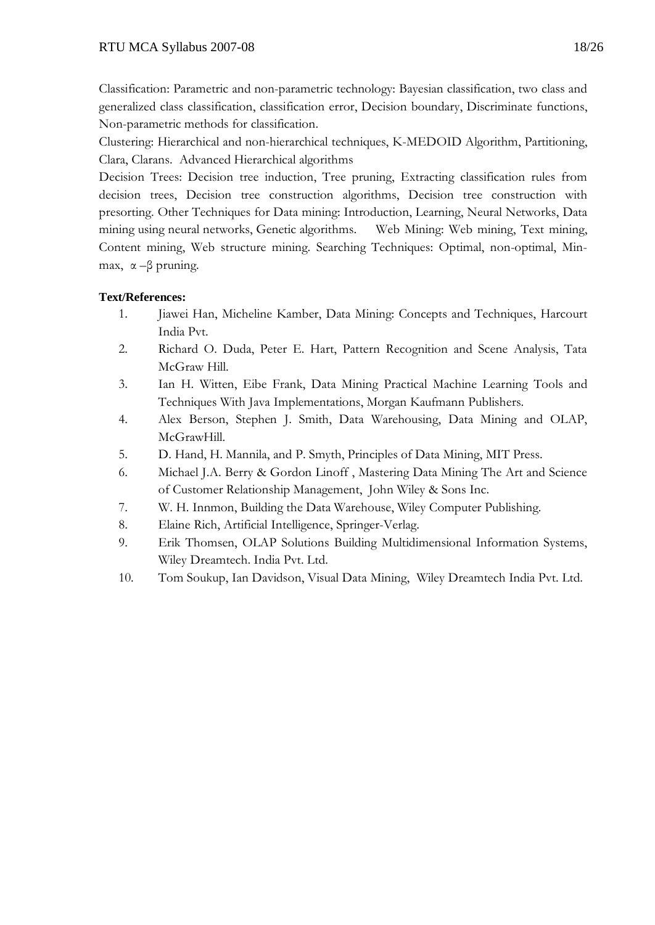Classification: Parametric and non-parametric technology: Bayesian classification, two class and generalized class classification, classification error, Decision boundary, Discriminate functions, Non-parametric methods for classification.

Clustering: Hierarchical and non-hierarchical techniques, K-MEDOID Algorithm, Partitioning, Clara, Clarans. Advanced Hierarchical algorithms

Decision Trees: Decision tree induction, Tree pruning, Extracting classification rules from decision trees, Decision tree construction algorithms, Decision tree construction with presorting. Other Techniques for Data mining: Introduction, Learning, Neural Networks, Data mining using neural networks, Genetic algorithms. Web Mining: Web mining, Text mining, Content mining, Web structure mining. Searching Techniques: Optimal, non-optimal, Minmax,  $\alpha$  –β pruning.

- 1. Jiawei Han, Micheline Kamber, Data Mining: Concepts and Techniques, Harcourt India Pvt.
- 2. Richard O. Duda, Peter E. Hart, Pattern Recognition and Scene Analysis, Tata McGraw Hill.
- 3. Ian H. Witten, Eibe Frank, Data Mining Practical Machine Learning Tools and Techniques With Java Implementations, Morgan Kaufmann Publishers.
- 4. Alex Berson, Stephen J. Smith, Data Warehousing, Data Mining and OLAP, McGrawHill.
- 5. D. Hand, H. Mannila, and P. Smyth, Principles of Data Mining, MIT Press.
- 6. Michael J.A. Berry & Gordon Linoff , Mastering Data Mining The Art and Science of Customer Relationship Management, John Wiley & Sons Inc.
- 7. W. H. Innmon, Building the Data Warehouse, Wiley Computer Publishing.
- 8. Elaine Rich, Artificial Intelligence, Springer-Verlag.
- 9. Erik Thomsen, OLAP Solutions Building Multidimensional Information Systems, Wiley Dreamtech. India Pvt. Ltd.
- 10. Tom Soukup, Ian Davidson, Visual Data Mining, Wiley Dreamtech India Pvt. Ltd.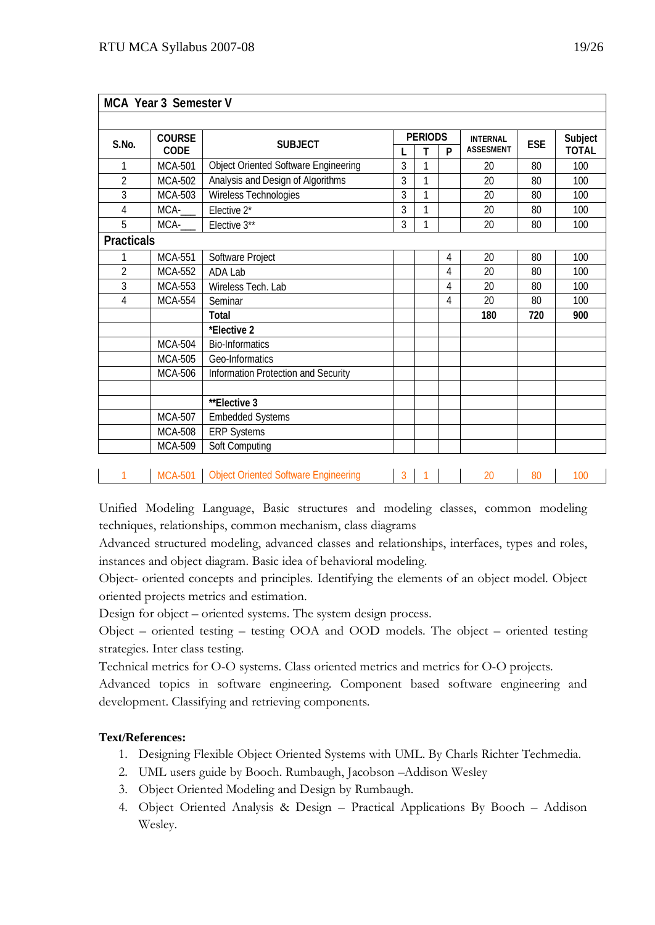|                   | MCA Year 3 Semester V |                                                |                |                |   |                  |            |                         |
|-------------------|-----------------------|------------------------------------------------|----------------|----------------|---|------------------|------------|-------------------------|
|                   |                       |                                                |                |                |   |                  |            |                         |
| S.No.             | <b>COURSE</b>         | <b>SUBJECT</b>                                 |                | <b>PERIODS</b> |   | <b>INTERNAL</b>  | <b>ESE</b> | Subject<br><b>TOTAL</b> |
|                   | CODE                  |                                                |                | т              | P | <b>ASSESMENT</b> |            |                         |
| 1                 | <b>MCA-501</b>        | <b>Object Oriented Software Engineering</b>    | 3              | 1              |   | 20               | 80         | 100                     |
| $\overline{2}$    | <b>MCA-502</b>        | Analysis and Design of Algorithms              | 3              | $\mathbf{1}$   |   | 20               | 80         | 100                     |
| 3                 | MCA-503               | Wireless Technologies                          | 3              | $\mathbf{1}$   |   | 20               | 80         | 100                     |
| 4                 | MCA-                  | Elective 2*                                    | 3              | 1              |   | 20               | 80         | 100                     |
| 5                 | MCA-                  | Elective 3**                                   | 3              | 1              |   | 20               | 80         | 100                     |
| <b>Practicals</b> |                       |                                                |                |                |   |                  |            |                         |
| 1                 | <b>MCA-551</b>        | Software Project                               |                |                | 4 | 20               | 80         | 100                     |
| $\overline{2}$    | <b>MCA-552</b>        | ADA Lab                                        |                |                | 4 | 20               | 80         | 100                     |
| 3                 | <b>MCA-553</b>        | Wireless Tech. Lab                             |                |                | 4 | 20               | 80         | 100                     |
| $\overline{4}$    | <b>MCA-554</b>        | Seminar                                        |                |                | 4 | 20               | 80         | 100                     |
|                   |                       | Total                                          |                |                |   | 180              | 720        | 900                     |
|                   |                       | *Elective 2                                    |                |                |   |                  |            |                         |
|                   | <b>MCA-504</b>        | <b>Bio-Informatics</b>                         |                |                |   |                  |            |                         |
|                   | <b>MCA-505</b>        | Geo-Informatics                                |                |                |   |                  |            |                         |
|                   | <b>MCA-506</b>        | Information Protection and Security            |                |                |   |                  |            |                         |
|                   |                       | **Elective 3                                   |                |                |   |                  |            |                         |
|                   | <b>MCA-507</b>        | <b>Embedded Systems</b>                        |                |                |   |                  |            |                         |
|                   | <b>MCA-508</b>        | <b>ERP Systems</b>                             |                |                |   |                  |            |                         |
|                   | <b>MCA-509</b>        | Soft Computing                                 |                |                |   |                  |            |                         |
| 1                 |                       | MCA-501   Object Oriented Software Engineering | $\overline{3}$ |                |   | 20               | 80         | 100                     |

Unified Modeling Language, Basic structures and modeling classes, common modeling techniques, relationships, common mechanism, class diagrams

Advanced structured modeling, advanced classes and relationships, interfaces, types and roles, instances and object diagram. Basic idea of behavioral modeling.

Object- oriented concepts and principles. Identifying the elements of an object model. Object oriented projects metrics and estimation.

Design for object – oriented systems. The system design process.

Object – oriented testing – testing OOA and OOD models. The object – oriented testing strategies. Inter class testing.

Technical metrics for O-O systems. Class oriented metrics and metrics for O-O projects.

Advanced topics in software engineering. Component based software engineering and development. Classifying and retrieving components.

- 1. Designing Flexible Object Oriented Systems with UML. By Charls Richter Techmedia.
- 2. UML users guide by Booch. Rumbaugh, Jacobson –Addison Wesley
- 3. Object Oriented Modeling and Design by Rumbaugh.
- 4. Object Oriented Analysis & Design Practical Applications By Booch Addison Wesley.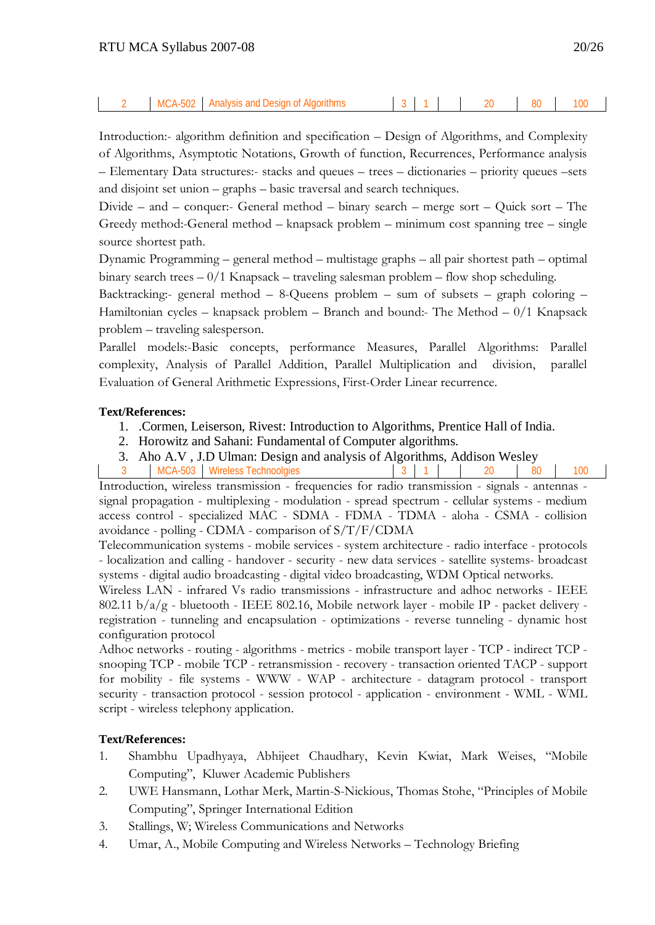## 2 MCA-502 Analysis and Design of Algorithms 3 1 20 80 100

Introduction:- algorithm definition and specification – Design of Algorithms, and Complexity of Algorithms, Asymptotic Notations, Growth of function, Recurrences, Performance analysis – Elementary Data structures:- stacks and queues – trees – dictionaries – priority queues –sets and disjoint set union – graphs – basic traversal and search techniques.

Divide – and – conquer:- General method – binary search – merge sort – Quick sort – The Greedy method:-General method – knapsack problem – minimum cost spanning tree – single source shortest path.

Dynamic Programming – general method – multistage graphs – all pair shortest path – optimal binary search trees  $-0/1$  Knapsack – traveling salesman problem – flow shop scheduling.

Backtracking:- general method – 8-Queens problem – sum of subsets – graph coloring – Hamiltonian cycles – knapsack problem – Branch and bound:- The Method –  $0/1$  Knapsack problem – traveling salesperson.

Parallel models:-Basic concepts, performance Measures, Parallel Algorithms: Parallel complexity, Analysis of Parallel Addition, Parallel Multiplication and division, parallel Evaluation of General Arithmetic Expressions, First-Order Linear recurrence.

#### **Text/References:**

- 1. .Cormen, Leiserson, Rivest: Introduction to Algorithms, Prentice Hall of India.
- 2. Horowitz and Sahani: Fundamental of Computer algorithms.
- 3. Aho A.V , J.D Ulman: Design and analysis of Algorithms, Addison Wesley
- 3 | MCA-503 | Wireless Technoolgies | 3 | 1 | 20 | 80 | 100

Introduction, wireless transmission - frequencies for radio transmission - signals - antennas signal propagation - multiplexing - modulation - spread spectrum - cellular systems - medium access control - specialized MAC - SDMA - FDMA - TDMA - aloha - CSMA - collision avoidance - polling - CDMA - comparison of S/T/F/CDMA

Telecommunication systems - mobile services - system architecture - radio interface - protocols - localization and calling - handover - security - new data services - satellite systems- broadcast systems - digital audio broadcasting - digital video broadcasting, WDM Optical networks.

Wireless LAN - infrared Vs radio transmissions - infrastructure and adhoc networks - IEEE 802.11 b/a/g - bluetooth - IEEE 802.16, Mobile network layer - mobile IP - packet delivery registration - tunneling and encapsulation - optimizations - reverse tunneling - dynamic host configuration protocol

Adhoc networks - routing - algorithms - metrics - mobile transport layer - TCP - indirect TCP snooping TCP - mobile TCP - retransmission - recovery - transaction oriented TACP - support for mobility - file systems - WWW - WAP - architecture - datagram protocol - transport security - transaction protocol - session protocol - application - environment - WML - WML script - wireless telephony application.

- 1. Shambhu Upadhyaya, Abhijeet Chaudhary, Kevin Kwiat, Mark Weises, "Mobile Computing", Kluwer Academic Publishers
- 2. UWE Hansmann, Lothar Merk, Martin-S-Nickious, Thomas Stohe, "Principles of Mobile Computing", Springer International Edition
- 3. Stallings, W; Wireless Communications and Networks
- 4. Umar, A., Mobile Computing and Wireless Networks Technology Briefing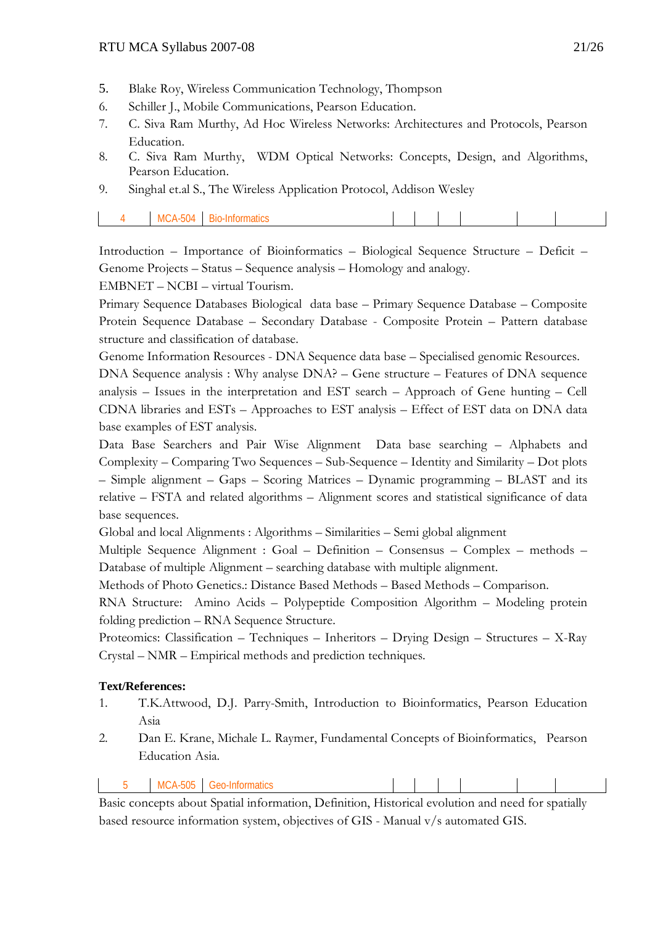- 5. Blake Roy, Wireless Communication Technology, Thompson
- 6. Schiller J., Mobile Communications, Pearson Education.
- 7. C. Siva Ram Murthy, Ad Hoc Wireless Networks: Architectures and Protocols, Pearson Education.
- 8. C. Siva Ram Murthy, WDM Optical Networks: Concepts, Design, and Algorithms, Pearson Education.
- 9. Singhal et.al S., The Wireless Application Protocol, Addison Wesley

| MCA-<br>$-504$ | Bio<br>-Informatics |  |  |  |
|----------------|---------------------|--|--|--|

Introduction – Importance of Bioinformatics – Biological Sequence Structure – Deficit – Genome Projects – Status – Sequence analysis – Homology and analogy.

EMBNET – NCBI – virtual Tourism.

Primary Sequence Databases Biological data base – Primary Sequence Database – Composite Protein Sequence Database – Secondary Database - Composite Protein – Pattern database structure and classification of database.

Genome Information Resources - DNA Sequence data base – Specialised genomic Resources.

DNA Sequence analysis : Why analyse DNA? – Gene structure – Features of DNA sequence analysis – Issues in the interpretation and EST search – Approach of Gene hunting – Cell CDNA libraries and ESTs – Approaches to EST analysis – Effect of EST data on DNA data base examples of EST analysis.

Data Base Searchers and Pair Wise Alignment Data base searching – Alphabets and Complexity – Comparing Two Sequences – Sub-Sequence – Identity and Similarity – Dot plots – Simple alignment – Gaps – Scoring Matrices – Dynamic programming – BLAST and its relative – FSTA and related algorithms – Alignment scores and statistical significance of data base sequences.

Global and local Alignments : Algorithms – Similarities – Semi global alignment

Multiple Sequence Alignment : Goal – Definition – Consensus – Complex – methods – Database of multiple Alignment – searching database with multiple alignment.

Methods of Photo Genetics.: Distance Based Methods – Based Methods – Comparison.

RNA Structure: Amino Acids – Polypeptide Composition Algorithm – Modeling protein folding prediction – RNA Sequence Structure.

Proteomics: Classification – Techniques – Inheritors – Drying Design – Structures – X-Ray Crystal – NMR – Empirical methods and prediction techniques.

#### **Text/References:**

- 1. T.K.Attwood, D.J. Parry-Smith, Introduction to Bioinformatics, Pearson Education Asia
- 2. Dan E. Krane, Michale L. Raymer, Fundamental Concepts of Bioinformatics, Pearson Education Asia.

| -N/IC<br>$\cap$<br>.<br>vuu |  | <b>505</b> |  |  |  |  |  |  |  |
|-----------------------------|--|------------|--|--|--|--|--|--|--|
|-----------------------------|--|------------|--|--|--|--|--|--|--|

Basic concepts about Spatial information, Definition, Historical evolution and need for spatially based resource information system, objectives of GIS - Manual v/s automated GIS.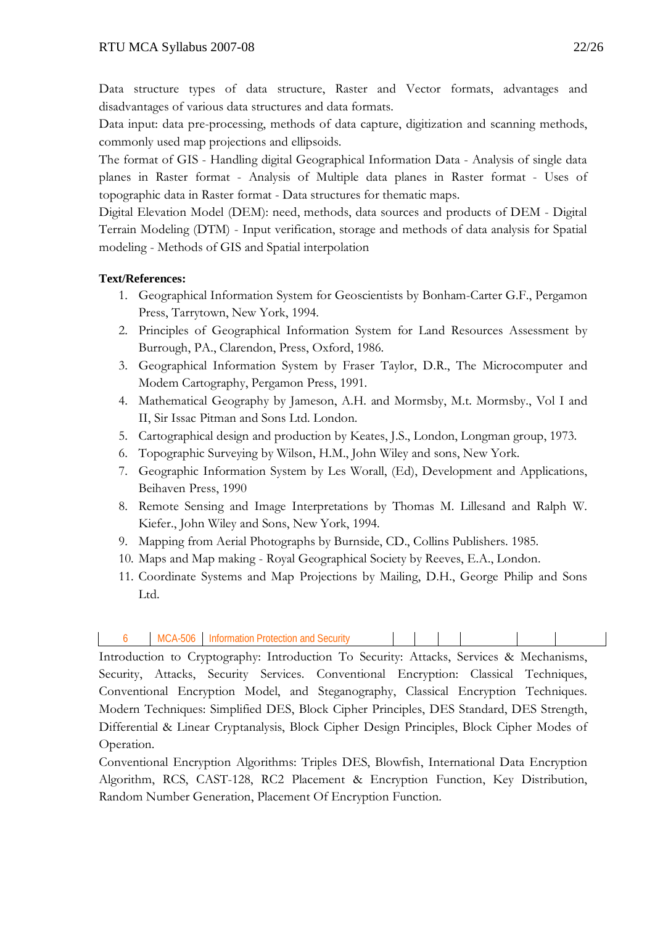$\overline{\phantom{a}}$ 

Data structure types of data structure, Raster and Vector formats, advantages and disadvantages of various data structures and data formats.

Data input: data pre-processing, methods of data capture, digitization and scanning methods, commonly used map projections and ellipsoids.

The format of GIS - Handling digital Geographical Information Data - Analysis of single data planes in Raster format - Analysis of Multiple data planes in Raster format - Uses of topographic data in Raster format - Data structures for thematic maps.

Digital Elevation Model (DEM): need, methods, data sources and products of DEM - Digital Terrain Modeling (DTM) - Input verification, storage and methods of data analysis for Spatial modeling - Methods of GIS and Spatial interpolation

# **Text/References:**

- 1. Geographical Information System for Geoscientists by Bonham-Carter G.F., Pergamon Press, Tarrytown, New York, 1994.
- 2. Principles of Geographical Information System for Land Resources Assessment by Burrough, PA., Clarendon, Press, Oxford, 1986.
- 3. Geographical Information System by Fraser Taylor, D.R., The Microcomputer and Modem Cartography, Pergamon Press, 1991.
- 4. Mathematical Geography by Jameson, A.H. and Mormsby, M.t. Mormsby., Vol I and II, Sir Issac Pitman and Sons Ltd. London.
- 5. Cartographical design and production by Keates, J.S., London, Longman group, 1973.
- 6. Topographic Surveying by Wilson, H.M., John Wiley and sons, New York.
- 7. Geographic Information System by Les Worall, (Ed), Development and Applications, Beihaven Press, 1990
- 8. Remote Sensing and Image Interpretations by Thomas M. Lillesand and Ralph W. Kiefer., John Wiley and Sons, New York, 1994.
- 9. Mapping from Aerial Photographs by Burnside, CD., Collins Publishers. 1985.
- 10. Maps and Map making Royal Geographical Society by Reeves, E.A., London.
- 11. Coordinate Systems and Map Projections by Mailing, D.H., George Philip and Sons Ltd.

|  |  | 506<br>M | ecurity<br>cilon.<br>nna<br>u<br>n. |  |  |  |  |  |  |
|--|--|----------|-------------------------------------|--|--|--|--|--|--|
|--|--|----------|-------------------------------------|--|--|--|--|--|--|

Introduction to Cryptography: Introduction To Security: Attacks, Services & Mechanisms, Security, Attacks, Security Services. Conventional Encryption: Classical Techniques, Conventional Encryption Model, and Steganography, Classical Encryption Techniques. Modern Techniques: Simplified DES, Block Cipher Principles, DES Standard, DES Strength, Differential & Linear Cryptanalysis, Block Cipher Design Principles, Block Cipher Modes of Operation.

Conventional Encryption Algorithms: Triples DES, Blowfish, International Data Encryption Algorithm, RCS, CAST-128, RC2 Placement & Encryption Function, Key Distribution, Random Number Generation, Placement Of Encryption Function.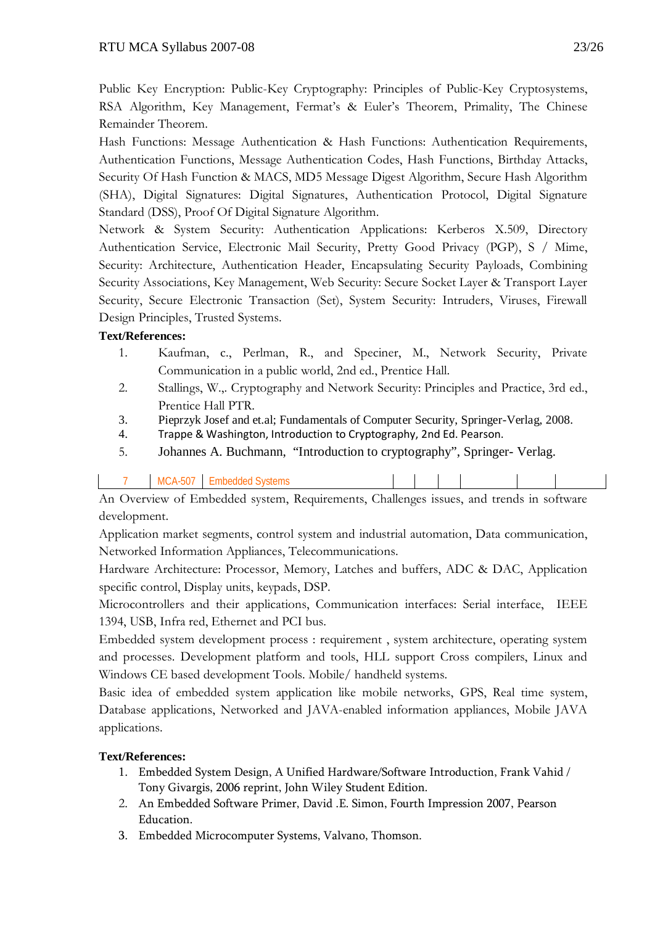Public Key Encryption: Public-Key Cryptography: Principles of Public-Key Cryptosystems, RSA Algorithm, Key Management, Fermat's & Euler's Theorem, Primality, The Chinese Remainder Theorem.

Hash Functions: Message Authentication & Hash Functions: Authentication Requirements, Authentication Functions, Message Authentication Codes, Hash Functions, Birthday Attacks, Security Of Hash Function & MACS, MD5 Message Digest Algorithm, Secure Hash Algorithm (SHA), Digital Signatures: Digital Signatures, Authentication Protocol, Digital Signature Standard (DSS), Proof Of Digital Signature Algorithm.

Network & System Security: Authentication Applications: Kerberos X.509, Directory Authentication Service, Electronic Mail Security, Pretty Good Privacy (PGP), S / Mime, Security: Architecture, Authentication Header, Encapsulating Security Payloads, Combining Security Associations, Key Management, Web Security: Secure Socket Layer & Transport Layer Security, Secure Electronic Transaction (Set), System Security: Intruders, Viruses, Firewall Design Principles, Trusted Systems.

# **Text/References:**

- 1. Kaufman, c., Perlman, R., and Speciner, M., Network Security, Private Communication in a public world, 2nd ed., Prentice Hall.
- 2. Stallings, W.,. Cryptography and Network Security: Principles and Practice, 3rd ed., Prentice Hall PTR.
- 3. Pieprzyk Josef and et.al; Fundamentals of Computer Security, Springer-Verlag, 2008.
- 4. Trappe & Washington, Introduction to Cryptography, 2nd Ed. Pearson.
- 5. Johannes A. Buchmann, "Introduction to cryptography", Springer- Verlag.

| $\Lambda$ . $\Omega$ . The contract of Europe delta decompose of $\Omega$ . The contract is defined as $\Omega$ . The contract of $\Omega$ |  |  |  |  |  |  |  |  |  |  |
|--------------------------------------------------------------------------------------------------------------------------------------------|--|--|--|--|--|--|--|--|--|--|

An Overview of Embedded system, Requirements, Challenges issues, and trends in software development.

Application market segments, control system and industrial automation, Data communication, Networked Information Appliances, Telecommunications.

Hardware Architecture: Processor, Memory, Latches and buffers, ADC & DAC, Application specific control, Display units, keypads, DSP.

Microcontrollers and their applications, Communication interfaces: Serial interface, IEEE 1394, USB, Infra red, Ethernet and PCI bus.

Embedded system development process : requirement , system architecture, operating system and processes. Development platform and tools, HLL support Cross compilers, Linux and Windows CE based development Tools. Mobile/ handheld systems.

Basic idea of embedded system application like mobile networks, GPS, Real time system, Database applications, Networked and JAVA-enabled information appliances, Mobile JAVA applications.

- 1. Embedded System Design, A Unified Hardware/Software Introduction, Frank Vahid / Tony Givargis, 2006 reprint, John Wiley Student Edition.
- 2. An Embedded Software Primer, David .E. Simon, Fourth Impression 2007, Pearson Education.
- 3. Embedded Microcomputer Systems, Valvano, Thomson.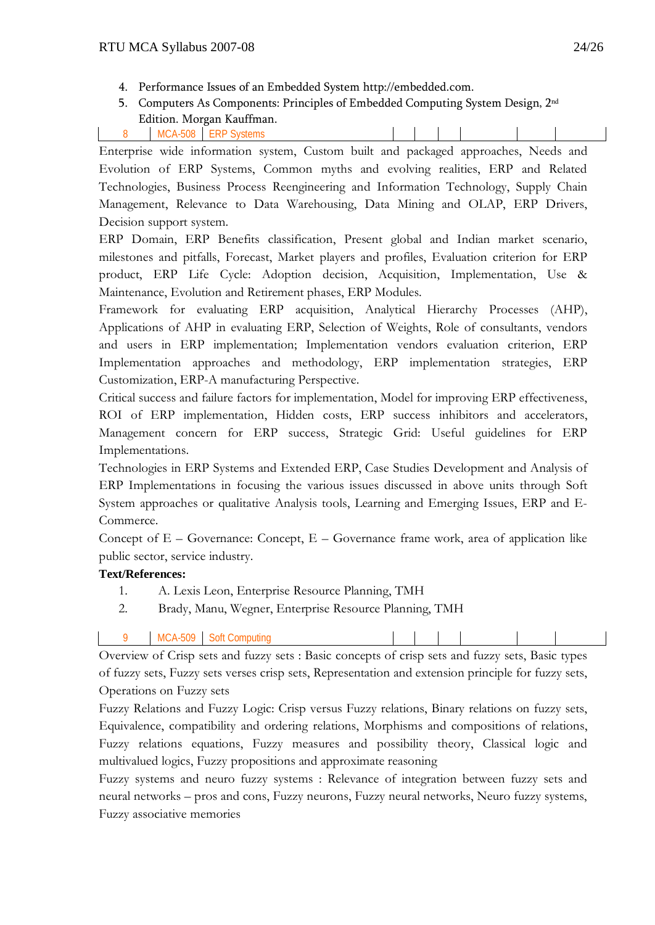- 4. Performance Issues of an Embedded System http://embedded.com.
- 5. Computers As Components: Principles of Embedded Computing System Design, 2nd Edition. Morgan Kauffman.

Enterprise wide information system, Custom built and packaged approaches, Needs and Evolution of ERP Systems, Common myths and evolving realities, ERP and Related Technologies, Business Process Reengineering and Information Technology, Supply Chain Management, Relevance to Data Warehousing, Data Mining and OLAP, ERP Drivers, Decision support system.

ERP Domain, ERP Benefits classification, Present global and Indian market scenario, milestones and pitfalls, Forecast, Market players and profiles, Evaluation criterion for ERP product, ERP Life Cycle: Adoption decision, Acquisition, Implementation, Use & Maintenance, Evolution and Retirement phases, ERP Modules.

Framework for evaluating ERP acquisition, Analytical Hierarchy Processes (AHP), Applications of AHP in evaluating ERP, Selection of Weights, Role of consultants, vendors and users in ERP implementation; Implementation vendors evaluation criterion, ERP Implementation approaches and methodology, ERP implementation strategies, ERP Customization, ERP-A manufacturing Perspective.

Critical success and failure factors for implementation, Model for improving ERP effectiveness, ROI of ERP implementation, Hidden costs, ERP success inhibitors and accelerators, Management concern for ERP success, Strategic Grid: Useful guidelines for ERP Implementations.

Technologies in ERP Systems and Extended ERP, Case Studies Development and Analysis of ERP Implementations in focusing the various issues discussed in above units through Soft System approaches or qualitative Analysis tools, Learning and Emerging Issues, ERP and E-Commerce.

Concept of  $E - G$ overnance: Concept,  $E - G$ overnance frame work, area of application like public sector, service industry.

# **Text/References:**

- 1. A. Lexis Leon, Enterprise Resource Planning, TMH
- 2. Brady, Manu, Wegner, Enterprise Resource Planning, TMH
- 9 MCA-509 Soft Computing

Overview of Crisp sets and fuzzy sets : Basic concepts of crisp sets and fuzzy sets, Basic types of fuzzy sets, Fuzzy sets verses crisp sets, Representation and extension principle for fuzzy sets, Operations on Fuzzy sets

Fuzzy Relations and Fuzzy Logic: Crisp versus Fuzzy relations, Binary relations on fuzzy sets, Equivalence, compatibility and ordering relations, Morphisms and compositions of relations, Fuzzy relations equations, Fuzzy measures and possibility theory, Classical logic and multivalued logics, Fuzzy propositions and approximate reasoning

Fuzzy systems and neuro fuzzy systems : Relevance of integration between fuzzy sets and neural networks – pros and cons, Fuzzy neurons, Fuzzy neural networks, Neuro fuzzy systems, Fuzzy associative memories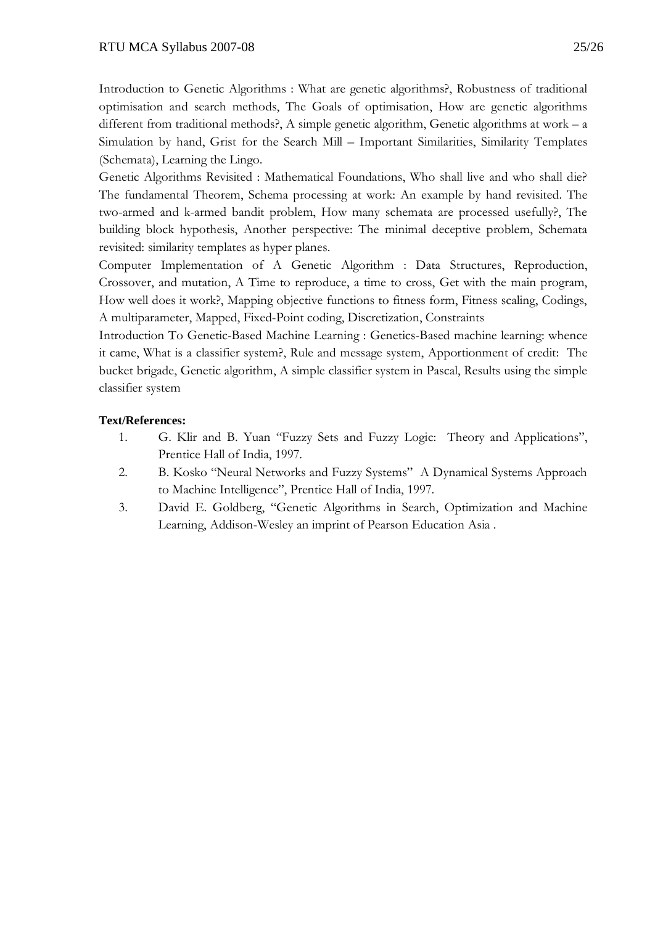Introduction to Genetic Algorithms : What are genetic algorithms?, Robustness of traditional optimisation and search methods, The Goals of optimisation, How are genetic algorithms different from traditional methods?, A simple genetic algorithm, Genetic algorithms at work – a Simulation by hand, Grist for the Search Mill – Important Similarities, Similarity Templates (Schemata), Learning the Lingo.

Genetic Algorithms Revisited : Mathematical Foundations, Who shall live and who shall die? The fundamental Theorem, Schema processing at work: An example by hand revisited. The two-armed and k-armed bandit problem, How many schemata are processed usefully?, The building block hypothesis, Another perspective: The minimal deceptive problem, Schemata revisited: similarity templates as hyper planes.

Computer Implementation of A Genetic Algorithm : Data Structures, Reproduction, Crossover, and mutation, A Time to reproduce, a time to cross, Get with the main program, How well does it work?, Mapping objective functions to fitness form, Fitness scaling, Codings, A multiparameter, Mapped, Fixed-Point coding, Discretization, Constraints

Introduction To Genetic-Based Machine Learning : Genetics-Based machine learning: whence it came, What is a classifier system?, Rule and message system, Apportionment of credit: The bucket brigade, Genetic algorithm, A simple classifier system in Pascal, Results using the simple classifier system

- 1. G. Klir and B. Yuan "Fuzzy Sets and Fuzzy Logic: Theory and Applications", Prentice Hall of India, 1997.
- 2. B. Kosko "Neural Networks and Fuzzy Systems" A Dynamical Systems Approach to Machine Intelligence", Prentice Hall of India, 1997.
- 3. David E. Goldberg, "Genetic Algorithms in Search, Optimization and Machine Learning, Addison-Wesley an imprint of Pearson Education Asia .